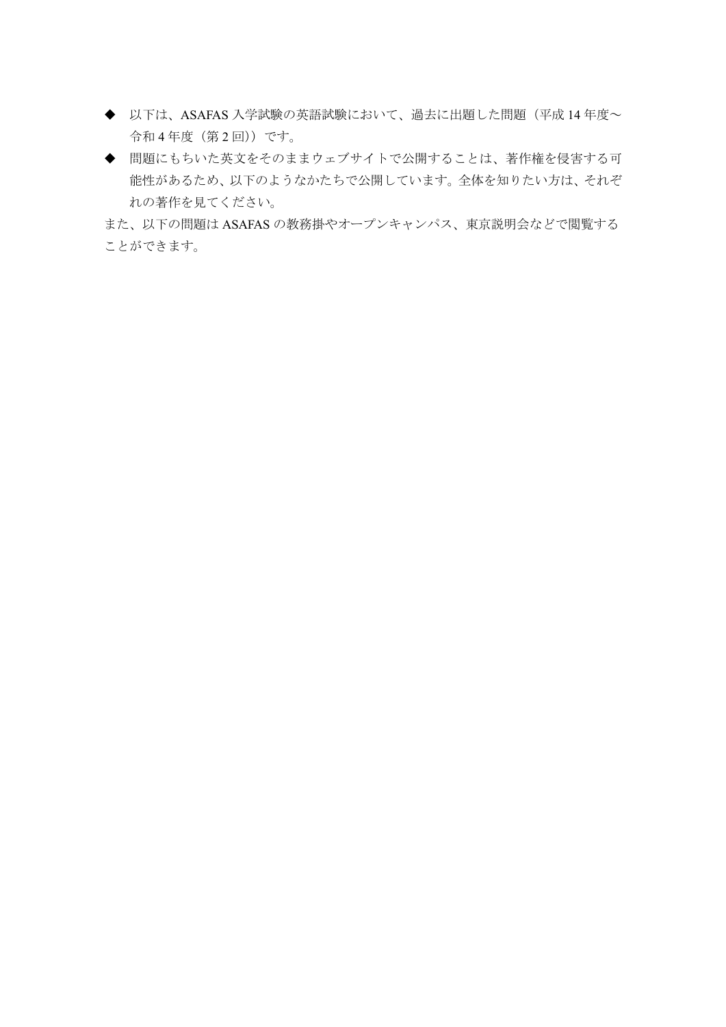- ◆ 以下は、ASAFAS 入学試験の英語試験において、過去に出題した問題(平成 14年度~ 令和 4 年度(第 2 回))です。
- ◆ 問題にもちいた英文をそのままウェブサイトで公開することは、著作権を侵害する可 能性があるため、以下のようなかたちで公開しています。全体を知りたい方は、それぞ れの著作を見てください。

また、以下の問題は ASAFAS の教務掛やオープンキャンパス、東京説明会などで閲覧する ことができます。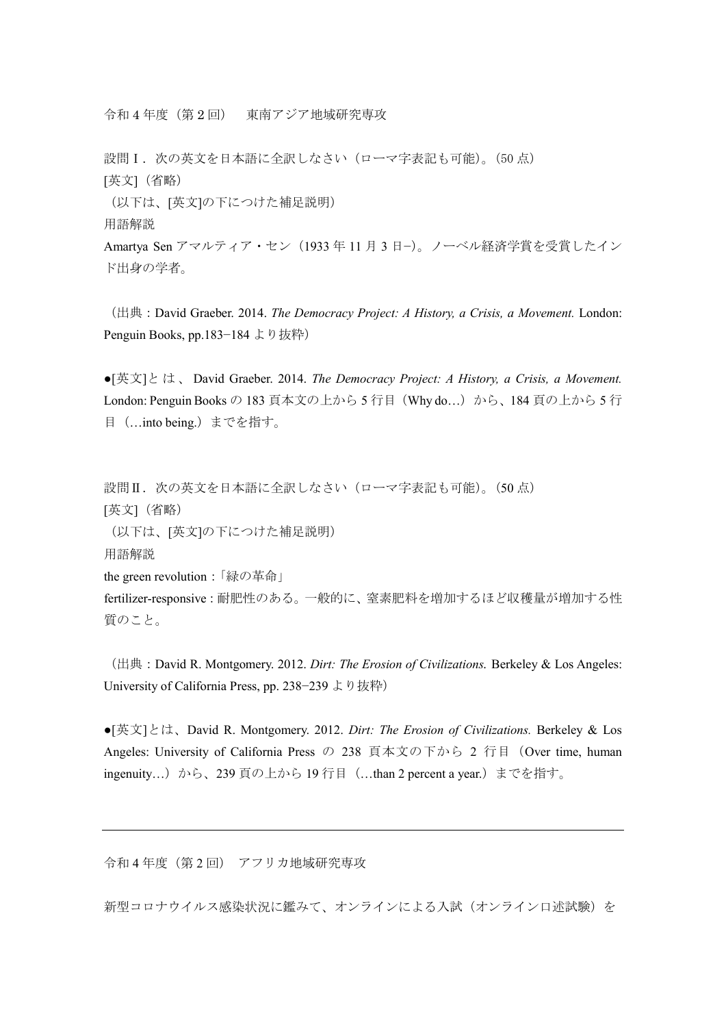令和 4 年度(第 2 回) 東南アジア地域研究専攻

設問I. 次の英文を日本語に全訳しなさい(ローマ字表記も可能)。(50点) [英文](省略)

(以下は、[英文]の下につけた補足説明) 用語解説

Amartya Sen アマルティア・セン(1933 年 11 月 3 日−)。ノーベル経済学賞を受賞したイン ド出身の学者。

(出典:David Graeber. 2014. *The Democracy Project: A History, a Crisis, a Movement.* London: Penguin Books, pp.183−184 より抜粋)

●[英文]と は 、 David Graeber. 2014. *The Democracy Project: A History, a Crisis, a Movement.* London: Penguin Books の 183 頁本文の上から5行目 (Why do...)から、184 頁の上から5行 目(…into being.)までを指す。

設問II. 次の英文を日本語に全訳しなさい(ローマ字表記も可能)。(50点) [英文](省略) (以下は、[英文]の下につけた補足説明) 用語解説 the green revolution:「緑の革命」 fertilizer-responsive:耐肥性のある。一般的に、窒素肥料を増加するほど収穫量が増加する性 質のこと。

(出典:David R. Montgomery. 2012. *Dirt: The Erosion of Civilizations.* Berkeley & Los Angeles: University of California Press, pp. 238−239 より抜粋)

●[英文]とは、David R. Montgomery. 2012. *Dirt: The Erosion of Civilizations.* Berkeley & Los Angeles: University of California Press の 238 頁本文の下から 2 行目 (Over time, human ingenuity…)から、239 頁の上から 19 行目 (…than 2 percent a year.) までを指す。

令和 4 年度(第 2 回) アフリカ地域研究専攻

新型コロナウイルス感染状況に鑑みて、オンラインによる入試(オンライン口述試験)を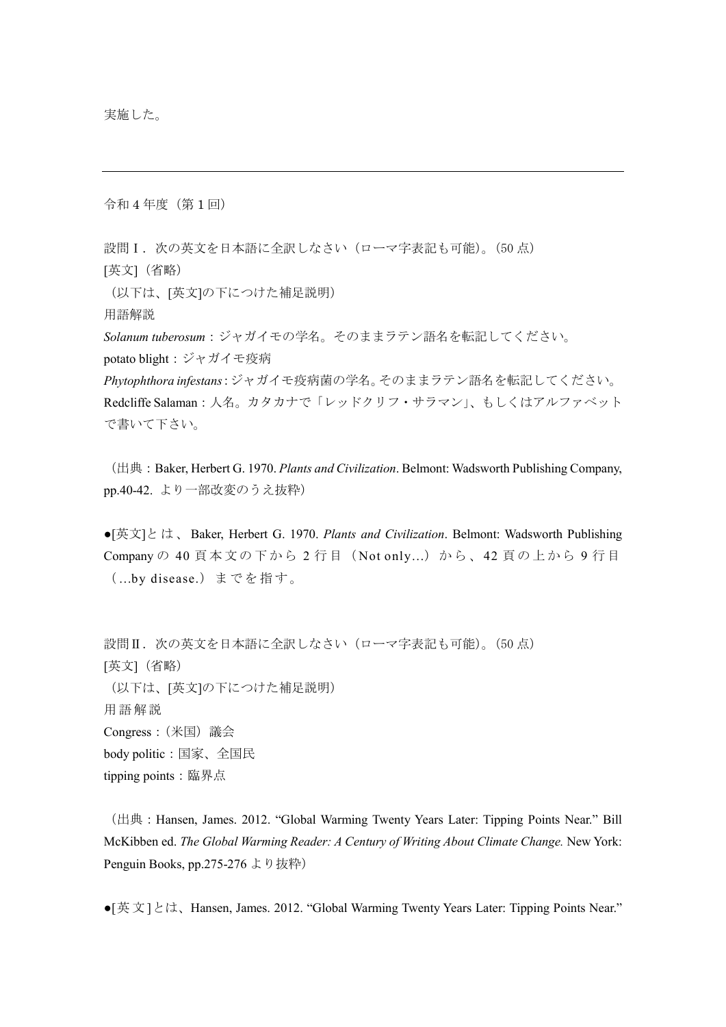令和 4 年度(第 1 回)

設問 I. 次の英文を日本語に全訳しなさい(ローマ字表記も可能)。(50点) [英文](省略)

(以下は、[英文]の下につけた補足説明)

用語解説

*Solanum tuberosum*:ジャガイモの学名。そのままラテン語名を転記してください。 potato blight:ジャガイモ疫病

*Phytophthora infestans*:ジャガイモ疫病菌の学名。そのままラテン語名を転記してください。 Redcliffe Salaman:人名。カタカナで「レッドクリフ・サラマン」、もしくはアルファベット で書いて下さい。

(出典:Baker, Herbert G. 1970. *Plants and Civilization*. Belmont: Wadsworth Publishing Company, pp.40-42. より一部改変のうえ抜粋)

●[英文]と は 、 Baker, Herbert G. 1970. *Plants and Civilization*. Belmont: Wadsworth Publishing Company の 40 頁本文の 下 から 2 行 目( Not only…)か ら 、42 頁 の上 から 9 行目 ( …by disease.) までを 指 す。

設問II. 次の英文を日本語に全訳しなさい(ローマ字表記も可能)。(50点) [英文](省略) (以下は、[英文]の下につけた補足説明) 用語解説 Congress:(米国)議会 body politic:国家、全国民 tipping points:臨界点

(出典:Hansen, James. 2012. "Global Warming Twenty Years Later: Tipping Points Near." Bill McKibben ed. *The Global Warming Reader: A Century of Writing About Climate Change.* New York: Penguin Books, pp.275-276 より抜粋)

•[英文]とは、Hansen, James. 2012. "Global Warming Twenty Years Later: Tipping Points Near."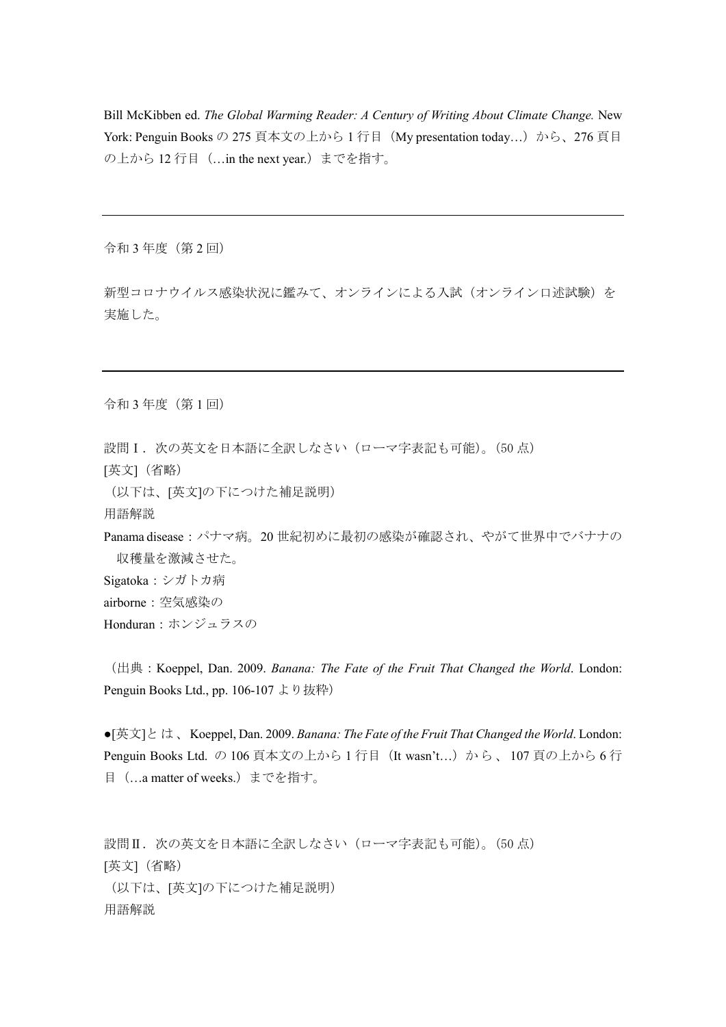Bill McKibben ed. *The Global Warming Reader: A Century of Writing About Climate Change.* New York: Penguin Books の 275 頁本文の上から 1 行目(My presentation today…)から、276 頁目 の上から 12 行目(…in the next year.)までを指す。

令和 3 年度(第 2 回)

新型コロナウイルス感染状況に鑑みて、オンラインによる入試(オンライン口述試験)を 実施した。

令和 3 年度(第 1 回)

設問I. 次の英文を日本語に全訳しなさい(ローマ字表記も可能)。(50点)

[英文](省略)

(以下は、[英文]の下につけた補足説明)

用語解説

Panama disease:パナマ病。20 世紀初めに最初の感染が確認され、やがて世界中でバナナの 収穫量を激減させた。 Sigatoka:シガトカ病

airborne:空気感染の

Honduran:ホンジュラスの

(出典:Koeppel, Dan. 2009. *Banana: The Fate of the Fruit That Changed the World*. London: Penguin Books Ltd., pp. 106-107 より抜粋)

●[英文]と は 、Koeppel, Dan. 2009. *Banana: The Fate of the Fruit That Changed the World*. London: Penguin Books Ltd. の 106 頁本文の上から 1 行目 (It wasn't...) から、 107 頁の上から 6 行 目(…a matter of weeks.)までを指す。

設問II. 次の英文を日本語に全訳しなさい(ローマ字表記も可能)。(50点) [英文](省略) (以下は、[英文]の下につけた補足説明) 用語解説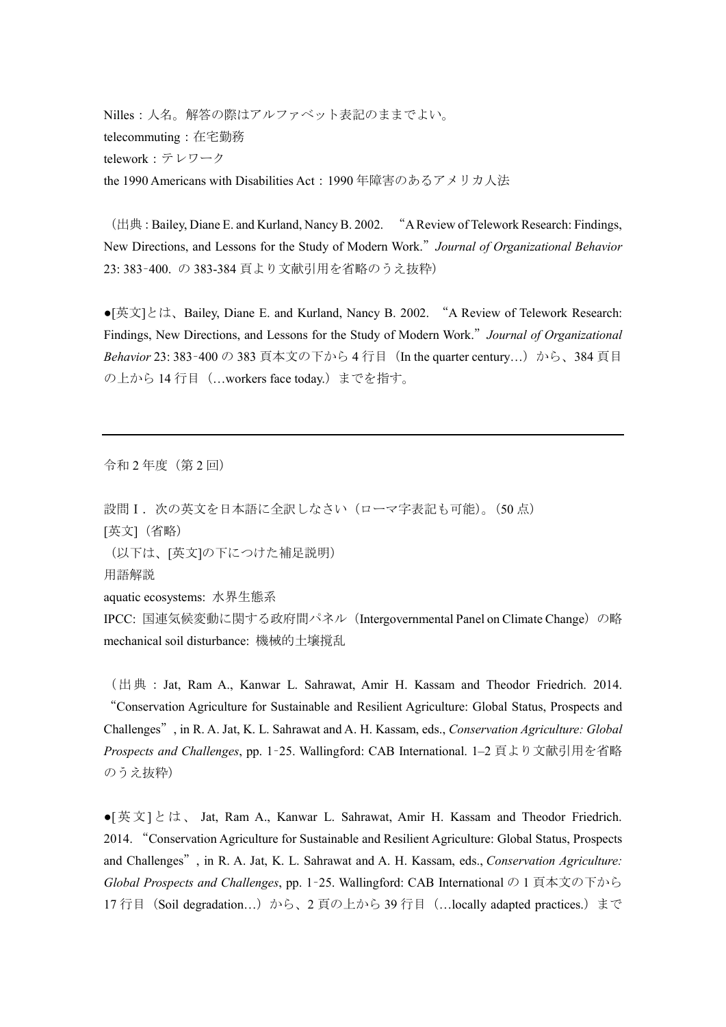Nilles:人名。解答の際はアルファベット表記のままでよい。 telecommuting:在宅勤務 telework:テレワーク the 1990 Americans with Disabilities Act:1990 年障害のあるアメリカ人法

(出典:Bailey, Diane E. and Kurland, Nancy B. 2002. "A Review of Telework Research: Findings, New Directions, and Lessons for the Study of Modern Work."*Journal of Organizational Behavior* 23: 383–400. の 383-384 頁より文献引用を省略のうえ抜粋)

●[英文]とは、Bailey, Diane E. and Kurland, Nancy B. 2002. "A Review of Telework Research: Findings, New Directions, and Lessons for the Study of Modern Work."*Journal of Organizational*  Behavior 23: 383-400 の 383 頁本文の下から 4 行目 (In the quarter century...) から、384 頁目 の上から14行目 ( ... workers face today.) までを指す。

令和 2 年度(第 2 回)

設問I. 次の英文を日本語に全訳しなさい(ローマ字表記も可能)。(50点) [英文](省略) (以下は、[英文]の下につけた補足説明)

用語解説

aquatic ecosystems: 水界生態系

IPCC: 国連気候変動に関する政府間パネル (Intergovernmental Panel on Climate Change) の略 mechanical soil disturbance: 機械的土壌撹乱

(出典:Jat, Ram A., Kanwar L. Sahrawat, Amir H. Kassam and Theodor Friedrich. 2014. "Conservation Agriculture for Sustainable and Resilient Agriculture: Global Status, Prospects and Challenges", in R. A. Jat, K. L. Sahrawat and A. H. Kassam, eds., *Conservation Agriculture: Global Prospects and Challenges*, pp. 1–25. Wallingford: CAB International. 1–2 頁より文献引用を省略 のうえ抜粋)

●[英文]とは、 Jat, Ram A., Kanwar L. Sahrawat, Amir H. Kassam and Theodor Friedrich. 2014. "Conservation Agriculture for Sustainable and Resilient Agriculture: Global Status, Prospects and Challenges", in R. A. Jat, K. L. Sahrawat and A. H. Kassam, eds., *Conservation Agriculture: Global Prospects and Challenges*, pp. 1–25. Wallingford: CAB International の 1 頁本文の下から 17 行目 (Soil degradation...) から、2 頁の上から 39 行目 ( ... locally adapted practices.) まで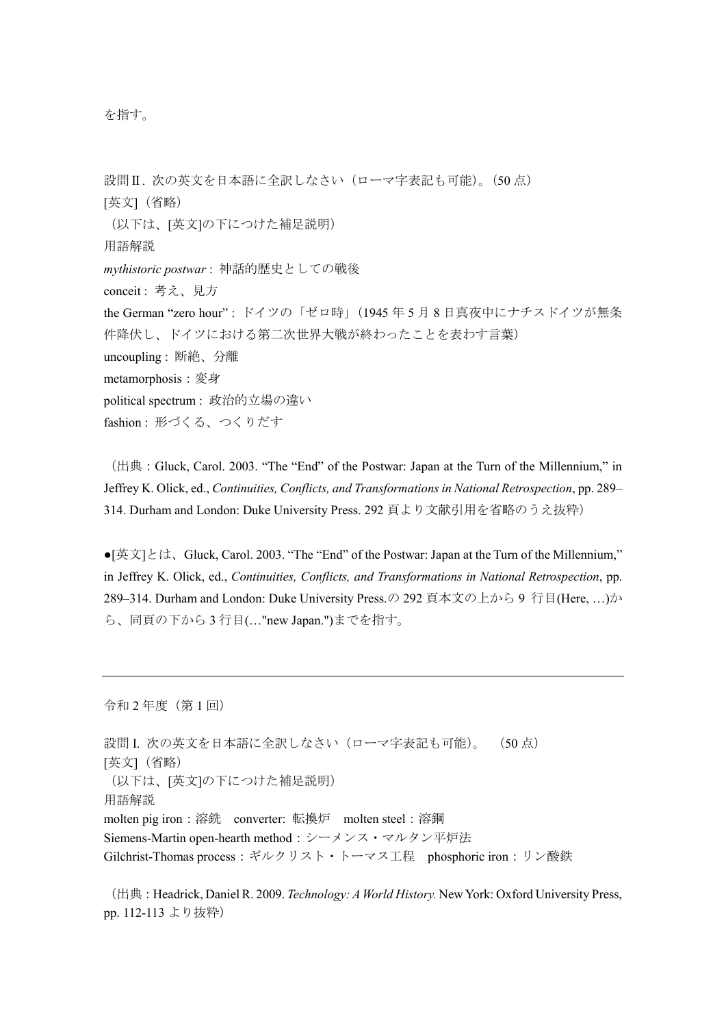を指す。

設問II. 次の英文を日本語に全訳しなさい(ローマ字表記も可能)。(50点) [英文](省略) (以下は、[英文]の下につけた補足説明) 用語解説 *mythistoric postwar* : 神話的歴史としての戦後 conceit : 考え、見方 the German "zero hour" : ドイツの「ゼロ時」(1945 年 5 月 8 日真夜中にナチスドイツが無条 件降伏し、ドイツにおける第二次世界大戦が終わったことを表わす言葉) uncoupling : 断絶、分離 metamorphosis:変身 political spectrum : 政治的立場の違い fashion : 形づくる、つくりだす

(出典:Gluck, Carol. 2003. "The "End" of the Postwar: Japan at the Turn of the Millennium," in Jeffrey K. Olick, ed., *Continuities, Conflicts, and Transformations in National Retrospection*, pp. 289– 314. Durham and London: Duke University Press. 292 頁より文献引用を省略のうえ抜粋)

●[英文]とは、Gluck, Carol. 2003. "The "End" of the Postwar: Japan at the Turn of the Millennium," in Jeffrey K. Olick, ed., *Continuities, Conflicts, and Transformations in National Retrospection*, pp. 289–314. Durham and London: Duke University Press.の 292 頁本文の上から 9 行目(Here, …)か ら、同頁の下から 3 行目(…"new Japan.")までを指す。

令和 2 年度(第 1 回)

設問 I. 次の英文を日本語に全訳しなさい(ローマ字表記も可能)。 (50点) [英文](省略) (以下は、[英文]の下につけた補足説明) 用語解説 molten pig iron:溶銑 converter: 転換炉 molten steel:溶鋼 Siemens-Martin open-hearth method:シーメンス・マルタン平炉法 Gilchrist-Thomas process:ギルクリスト・トーマス工程 phosphoric iron:リン酸鉄

(出典:Headrick, Daniel R. 2009. *Technology: A World History.* New York: Oxford University Press, pp. 112-113 より抜粋)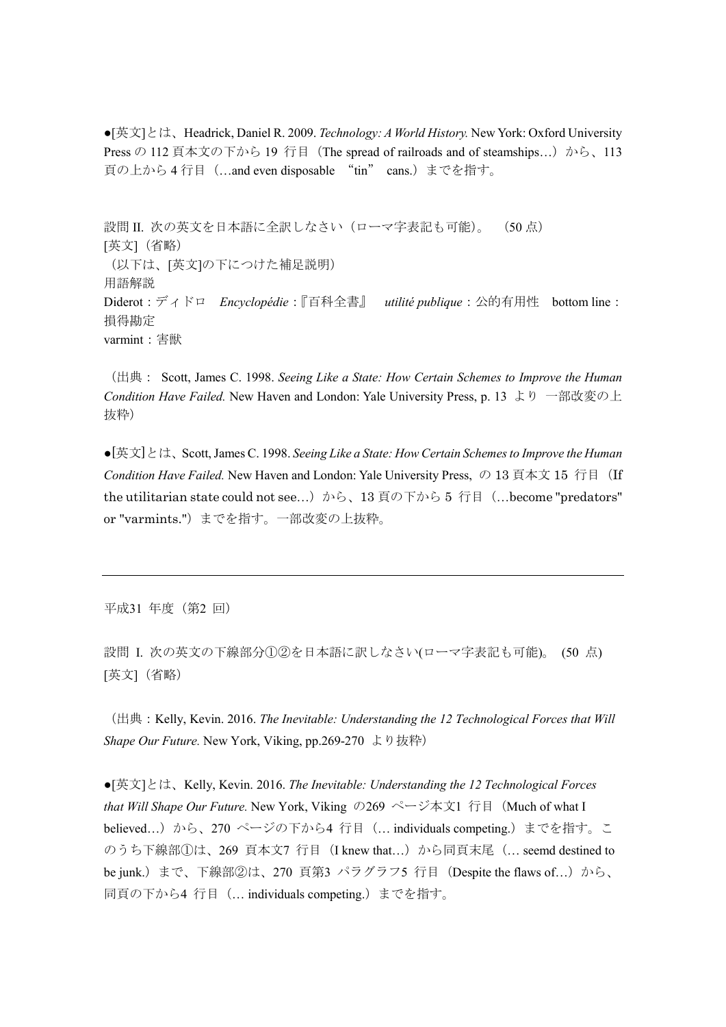●[英文]とは、Headrick, Daniel R. 2009. *Technology: A World History.* New York: Oxford University Press の 112 頁本文の下から 19 行目 (The spread of railroads and of steamships...) から、113 頁の上から 4 行目(…and even disposable "tin" cans.)までを指す。

設問 II. 次の英文を日本語に全訳しなさい(ローマ字表記も可能)。 (50点) [英文](省略) (以下は、[英文]の下につけた補足説明) 用語解説 Diderot:ディドロ *Encyclopédie*:『百科全書』 *utilité publique*:公的有用性 bottom line: 損得勘定 varmint:害獣

(出典: Scott, James C. 1998. *Seeing Like a State: How Certain Schemes to Improve the Human Condition Have Failed.* New Haven and London: Yale University Press, p. 13 より 一部改変の上 抜粋)

●[英文]とは、Scott, James C. 1998. *Seeing Like a State: How Certain Schemes to Improve the Human Condition Have Failed.* New Haven and London: Yale University Press, の 13 頁本文 15 行目 (If the utilitarian state could not see...) から、13 頁の下から 5 行目 (…become "predators" or "varmints.")までを指す。一部改変の上抜粋。

平成31 年度(第2 回)

設問 I. 次の英文の下線部分①②を日本語に訳しなさい(ローマ字表記も可能)。 (50 点) [英文](省略)

(出典:Kelly, Kevin. 2016. *The Inevitable: Understanding the 12 Technological Forces that Will Shape Our Future.* New York, Viking, pp.269-270 より抜粋)

●[英文]とは、Kelly, Kevin. 2016. *The Inevitable: Understanding the 12 Technological Forces that Will Shape Our Future.* New York, Viking の269 ページ本文1 行目(Much of what I believed...) から、270 ページの下から4 行目 (... individuals competing.) までを指す。こ のうち下線部①は、269 頁本文7 行目 (I knew that...) から同頁末尾 (... seemd destined to be junk.) まで、下線部②は、270 頁第3 パラグラフ5 行目 (Despite the flaws of...) から、 同頁の下から4 行目(… individuals competing.)までを指す。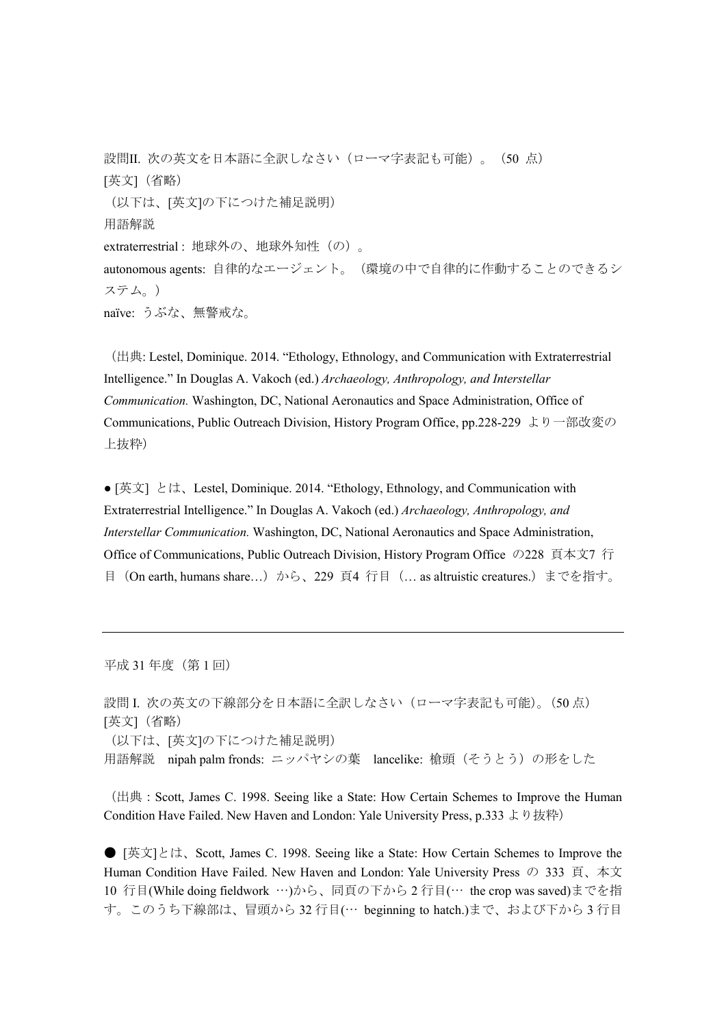設問II. 次の英文を日本語に全訳しなさい(ローマ字表記も可能)。(50点) [英文](省略) (以下は、[英文]の下につけた補足説明) 用語解説 extraterrestrial : 地球外の、地球外知性(の)。 autonomous agents: 自律的なエージェント。(環境の中で自律的に作動することのできるシ ステム。) naïve: うぶな、無警戒な。

(出典: Lestel, Dominique. 2014. "Ethology, Ethnology, and Communication with Extraterrestrial Intelligence." In Douglas A. Vakoch (ed.) *Archaeology, Anthropology, and Interstellar Communication.* Washington, DC, National Aeronautics and Space Administration, Office of Communications, Public Outreach Division, History Program Office, pp.228-229 より一部改変の 上抜粋)

● [英文] とは、Lestel, Dominique. 2014. "Ethology, Ethnology, and Communication with Extraterrestrial Intelligence." In Douglas A. Vakoch (ed.) *Archaeology, Anthropology, and Interstellar Communication.* Washington, DC, National Aeronautics and Space Administration, Office of Communications, Public Outreach Division, History Program Office の228 頁本文7 行 目(On earth, humans share…)から、229 頁4 行目(… as altruistic creatures.)までを指す。

平成 31 年度(第 1 回)

設問 I. 次の英文の下線部分を日本語に全訳しなさい(ローマ字表記も可能)。(50 点) [英文](省略) (以下は、[英文]の下につけた補足説明) 用語解説 nipah palm fronds: ニッパヤシの葉 lancelike: 槍頭(そうとう)の形をした

(出典:Scott, James C. 1998. Seeing like a State: How Certain Schemes to Improve the Human Condition Have Failed. New Haven and London: Yale University Press, p.333 より抜粋)

● [英文]とは、Scott, James C. 1998. Seeing like a State: How Certain Schemes to Improve the Human Condition Have Failed. New Haven and London: Yale University Press の 333 頁、本文 10 行目(While doing fieldwork …)から、同頁の下から 2 行目(… the crop was saved)までを指 す。このうち下線部は、冒頭から 32 行目(… beginning to hatch.)まで、および下から 3 行目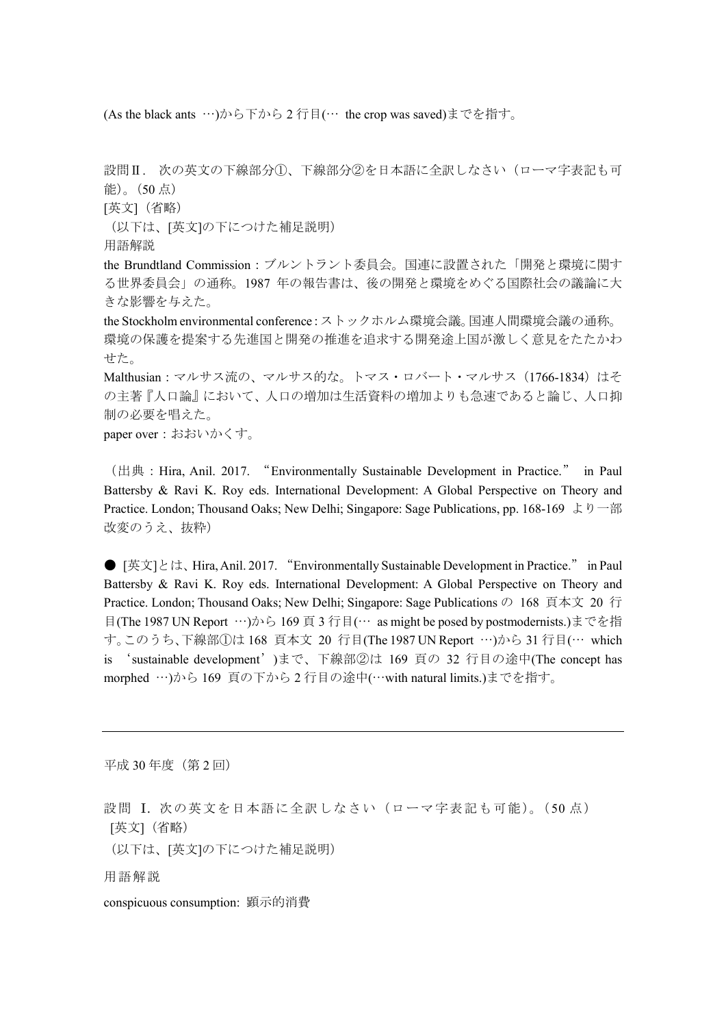(As the black ants …)から下から 2 行目(… the crop was saved)までを指す。

設問Ⅱ. 次の英文の下線部分①、下線部分②を日本語に全訳しなさい(ローマ字表記も可 能)。(50 点) [英文](省略) (以下は、[英文]の下につけた補足説明) 用語解説 the Brundtland Commission:ブルントラント委員会。国連に設置された「開発と環境に関す る世界委員会」の通称。1987 年の報告書は、後の開発と環境をめぐる国際社会の議論に大 きな影響を与えた。 the Stockholm environmental conference:ストックホルム環境会議。国連人間環境会議の通称。 環境の保護を提案する先進国と開発の推進を追求する開発途上国が激しく意見をたたかわ せた。 Malthusian: マルサス流の、マルサス的な。トマス・ロバート・マルサス (1766-1834) はそ の主著『人口論』において、人口の増加は生活資料の増加よりも急速であると論じ、人口抑 制の必要を唱えた。 paper over:おおいかくす。

(出典:Hira, Anil. 2017. "Environmentally Sustainable Development in Practice." in Paul Battersby & Ravi K. Roy eds. International Development: A Global Perspective on Theory and Practice. London; Thousand Oaks; New Delhi; Singapore: Sage Publications, pp. 168-169 より一部 改変のうえ、抜粋)

● [英文]とは、Hira, Anil. 2017. "Environmentally Sustainable Development in Practice." in Paul Battersby & Ravi K. Roy eds. International Development: A Global Perspective on Theory and Practice. London; Thousand Oaks; New Delhi; Singapore: Sage Publications の 168 頁本文 20 行 目(The 1987 UN Report …)から 169 頁 3 行目(… as might be posed by postmodernists.)までを指 す。このうち、下線部①は 168 頁本文 20 行目(The 1987 UN Report …)から 31 行目(… which is 'sustainable development')まで、下線部②は 169 頁の 32 行目の途中(The concept has morphed …)から 169 頁の下から 2 行目の途中(…with natural limits.)までを指す。

平成 30年度(第2回)

設問 I. 次の英文を日本語に全訳しなさい(ローマ字表記も可能)。(50 点) [英文](省略)

(以下は、[英文]の下につけた補足説明)

用語解説

conspicuous consumption: 顕示的消費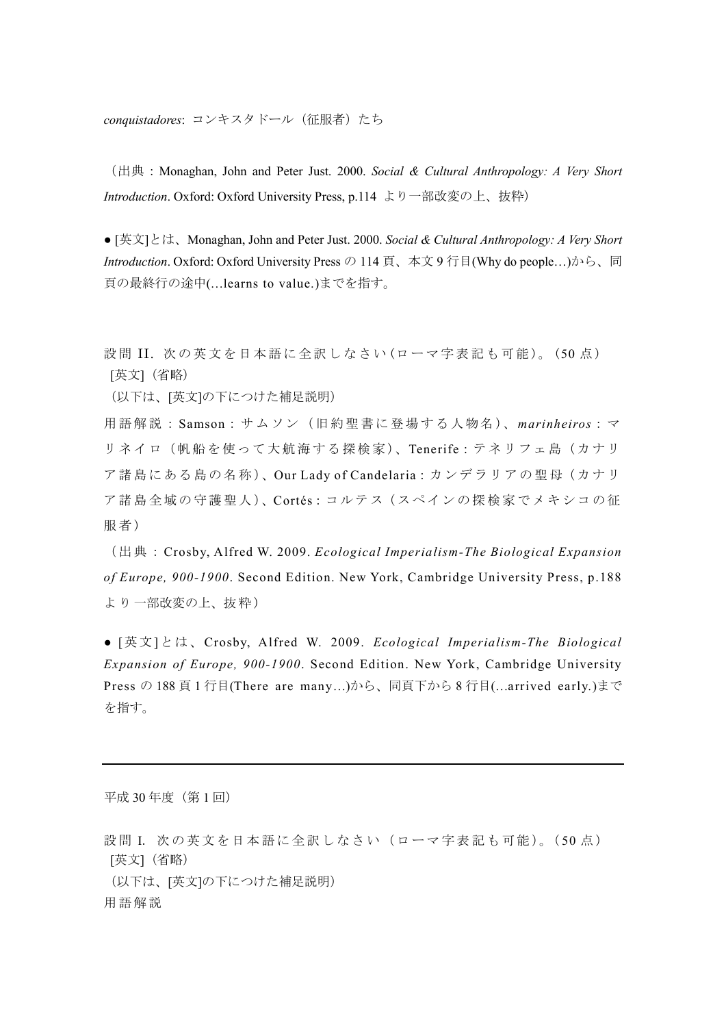conquistadores: コンキスタドール (征服者) たち

(出典:Monaghan, John and Peter Just. 2000. *Social & Cultural Anthropology: A Very Short Introduction*. Oxford: Oxford University Press, p.114 より一部改変の上、抜粋)

● [英文]とは、Monaghan, John and Peter Just. 2000. *Social & Cultural Anthropology: A Very Short Introduction*. Oxford: Oxford University Press の 114 頁、本文 9 行目(Why do people…)から、同 頁の最終行の途中(…learns to value.)までを指す。

設問 II. 次の英文を日本語に全訳しなさい (ローマ字表記も可能)。 (50点) [英文](省略)

(以下は、[英文]の下につけた補足説明)

用語解説: Samson:サ ム ソン( 旧約 聖書に 登 場す る人 物名)、*marinheiros*: マ リネイロ(帆船を使って大航海する探検家)、Tenerife:テネリフェ島(カナリ ア諸島にある島の名称)、Our Lady of Candelaria:カンデラリアの聖母(カナリ ア諸島全域の守護聖人)、Cortés:コルテス (スペインの探検家でメキシコの征 服者)

(出典: Crosby, Alfred W. 2009. *Ecological Imperialism-The Biological Expansion of Europe, 900-1900*. Second Edition. New York, Cambridge University Press, p.188 よ り 一部改変の上、抜粋)

● [英文]とは、Crosby, Alfred W. 2009. *Ecological Imperialism-The Biological Expansion of Europe, 900-1900*. Second Edition. New York, Cambridge University Press の 188 頁 1 行目(There are many…)から、同頁下から 8 行目(…arrived early.)まで を指す。

平成 30年度(第1回)

設問 I. 次の英文を日本語に全訳しなさい(ローマ字表記も可能)。(50点) [英文](省略) (以下は、[英文]の下につけた補足説明) 用語解説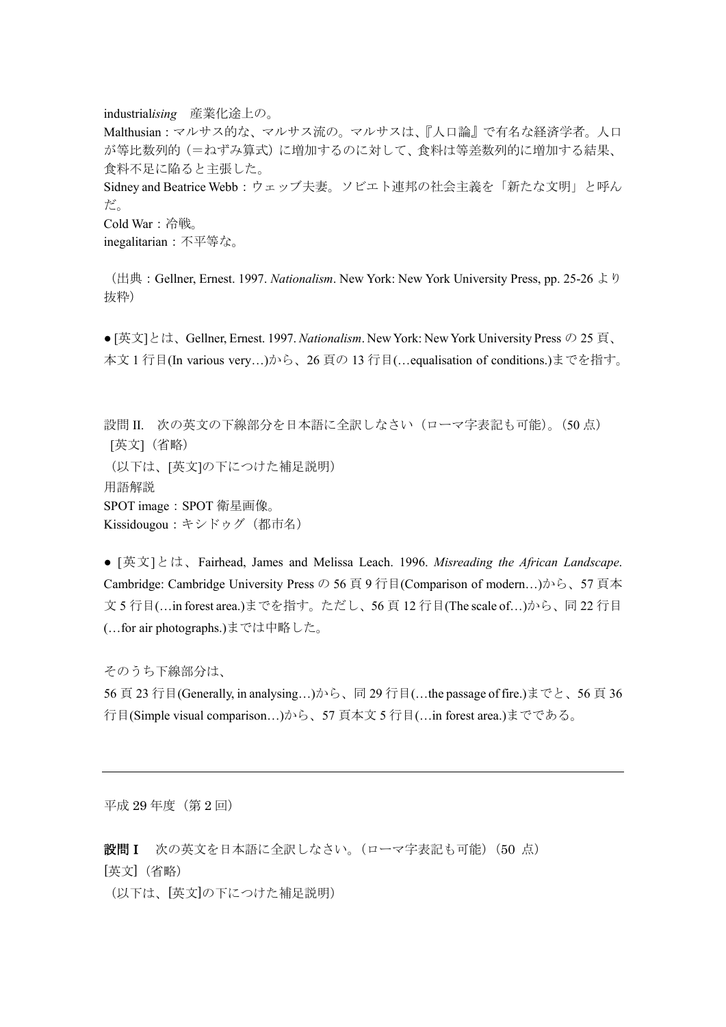industrial*ising* 産業化途上の。 Malthusian:マルサス的な、マルサス流の。マルサスは、『人口論』で有名な経済学者。人口 が等比数列的(=ねずみ算式)に増加するのに対して、食料は等差数列的に増加する結果、 食料不足に陥ると主張した。 Sidney and Beatrice Webb:ウェッブ夫妻。ソビエト連邦の社会主義を「新たな文明」と呼ん だ。 Cold War:冷戦。 inegalitarian:不平等な。

(出典:Gellner, Ernest. 1997. *Nationalism*. New York: New York University Press, pp. 25-26 より 抜粋)

● [英文]とは、Gellner, Ernest. 1997. *Nationalism*. New York: New York University Press の 25 頁、 本文 1 行目(In various very…)から、26 頁の 13 行目(…equalisation of conditions.)までを指す。

設問 II. 次の英文の下線部分を日本語に全訳しなさい(ローマ字表記も可能)。(50 点) [英文](省略) (以下は、[英文]の下につけた補足説明) 用語解説 SPOT image: SPOT 衛星画像。 Kissidougou:キシドゥグ(都市名)

● [英文]とは、Fairhead, James and Melissa Leach. 1996. *Misreading the African Landscape*. Cambridge: Cambridge University Press の 56 頁 9 行目(Comparison of modern…)から、57 頁本 文 5 行目(…in forest area.)までを指す。ただし、56 頁 12 行目(The scale of…)から、同 22 行目 (…for air photographs.)までは中略した。

そのうち下線部分は、 56 頁 23 行目(Generally, in analysing…)から、同 29 行目(…the passage of fire.)までと、56 頁 36 行目(Simple visual comparison…)から、57 頁本文 5 行目(…in forest area.)までである。

平成 29年度(第2回)

設問I 次の英文を日本語に全訳しなさい。(ローマ字表記も可能) (50 点) [英文](省略)

(以下は、[英文]の下につけた補足説明)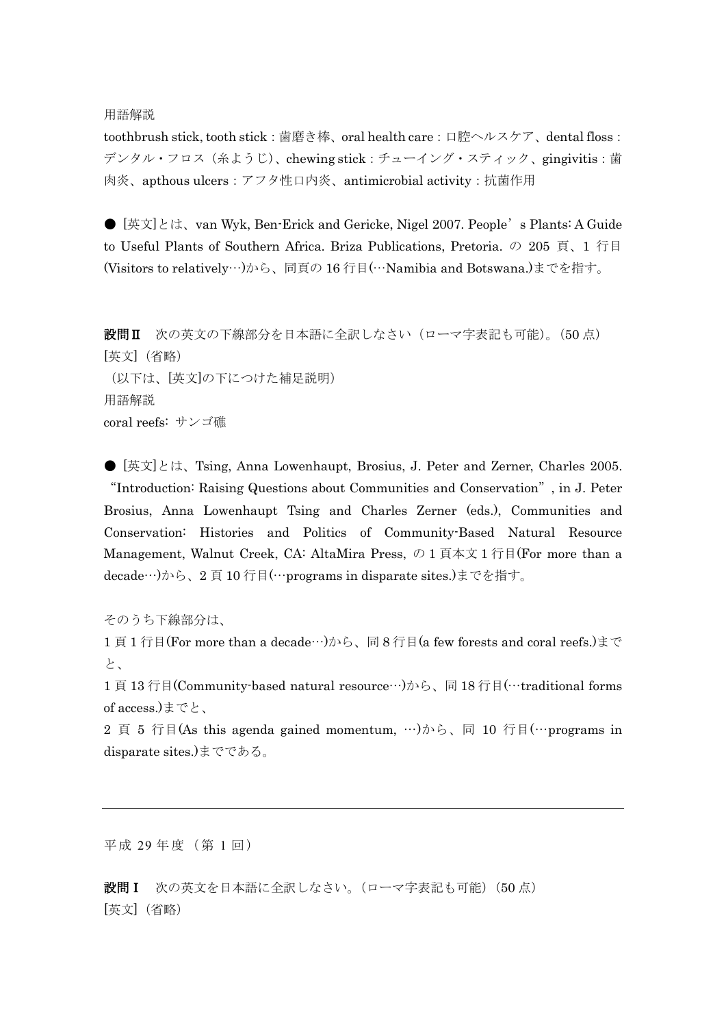## 用語解説

toothbrush stick, tooth stick: 歯磨き棒、oral health care: 口腔ヘルスケア、dental floss: デンタル・フロス(糸ようじ)、chewing stick: チューイング・スティック、gingivitis:歯 肉炎、apthous ulcers:アフタ性口内炎、antimicrobial activity:抗菌作用

● [英文]とは、van Wyk, Ben-Erick and Gericke, Nigel 2007. People's Plants: A Guide to Useful Plants of Southern Africa. Briza Publications, Pretoria. の 205 頁、1 行目 (Visitors to relatively…)から、同頁の 16 行目(…Namibia and Botswana.)までを指す。

設問Ⅱ 次の英文の下線部分を日本語に全訳しなさい(ローマ字表記も可能)。(50 点) [英文](省略) (以下は、[英文]の下につけた補足説明) 用語解説 coral reefs: サンゴ礁

● [英文]とは、Tsing, Anna Lowenhaupt, Brosius, J. Peter and Zerner, Charles 2005. "Introduction: Raising Questions about Communities and Conservation", in J. Peter Brosius, Anna Lowenhaupt Tsing and Charles Zerner (eds.), Communities and Conservation: Histories and Politics of Community-Based Natural Resource Management, Walnut Creek, CA: AltaMira Press, の 1 頁本文 1 行目(For more than a decade…)から、2 頁 10 行目(…programs in disparate sites.)までを指す。

そのうち下線部分は、

1 頁 1 行目(For more than a decade…)から、同 8 行目(a few forests and coral reefs.)まで と、

1頁 13 行目(Community-based natural resource…)から、同18 行目(…traditional forms of access.)までと、

2 頁 5 行目(As this agenda gained momentum, …)から、同 10 行目(…programs in disparate sites.)までである。

平成 29年度(第1回)

設問I 次の英文を日本語に全訳しなさい。(ローマ字表記も可能)(50点) [英文](省略)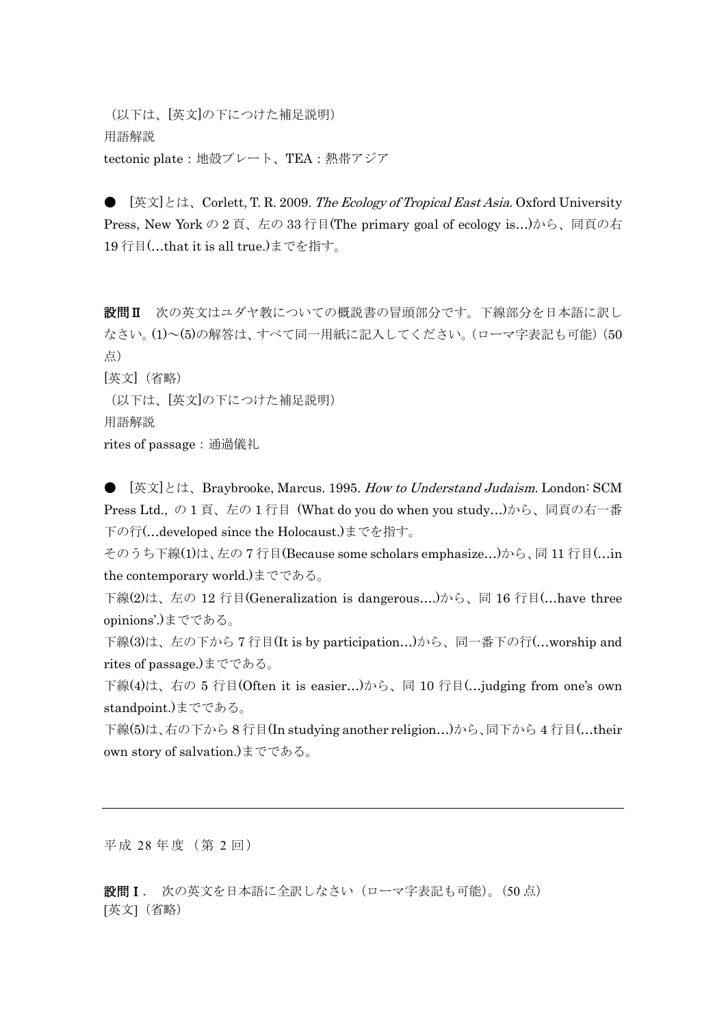(以下は、[英文]の下につけた補足説明) 用語解説 tectonic plate:地殻プレート、TEA:熱帯アジア

[英文]とは、Corlett, T. R. 2009. The Ecology of Tropical East Asia. Oxford University Press, New York の 2 頁、左の 33 行目(The primary goal of ecology is…)から、同頁の右 19 行目(…that it is all true.)までを指す。

設問Ⅱ 次の英文はユダヤ教についての概説書の冒頭部分です。下線部分を日本語に訳し なさい。(1)~(5)の解答は、すべて同一用紙に記入してください。(ローマ字表記も可能)(50 点) [英文](省略)

(以下は、[英文]の下につけた補足説明) 用語解説 rites of passage:通過儀礼

● 「英文」とは、Braybrooke, Marcus. 1995. How to Understand Judaism. London: SCM Press Ltd., の 1 頁、左の 1 行目 (What do you do when you study…)から、同頁の右一番 下の行(…developed since the Holocaust.)までを指す。

そのうち下線(1)は、左の 7 行目(Because some scholars emphasize…)から、同 11 行目(…in the contemporary world.)までである。

下線(2)は、左の 12 行目(Generalization is dangerous….)から、同 16 行目(…have three opinions'.)までである。

下線(3)は、左の下から 7 行目(It is by participation…)から、同一番下の行(…worship and rites of passage.)までである。

下線(4)は、右の 5 行目(Often it is easier…)から、同 10 行目(…judging from one's own standpoint.)までである。

下線(5)は、右の下から 8 行目(In studying another religion…)から、同下から 4 行目(…their own story of salvation.)までである。

平成 28年度(第2回)

設問I. 次の英文を日本語に全訳しなさい(ローマ字表記も可能)。(50点) [英文](省略)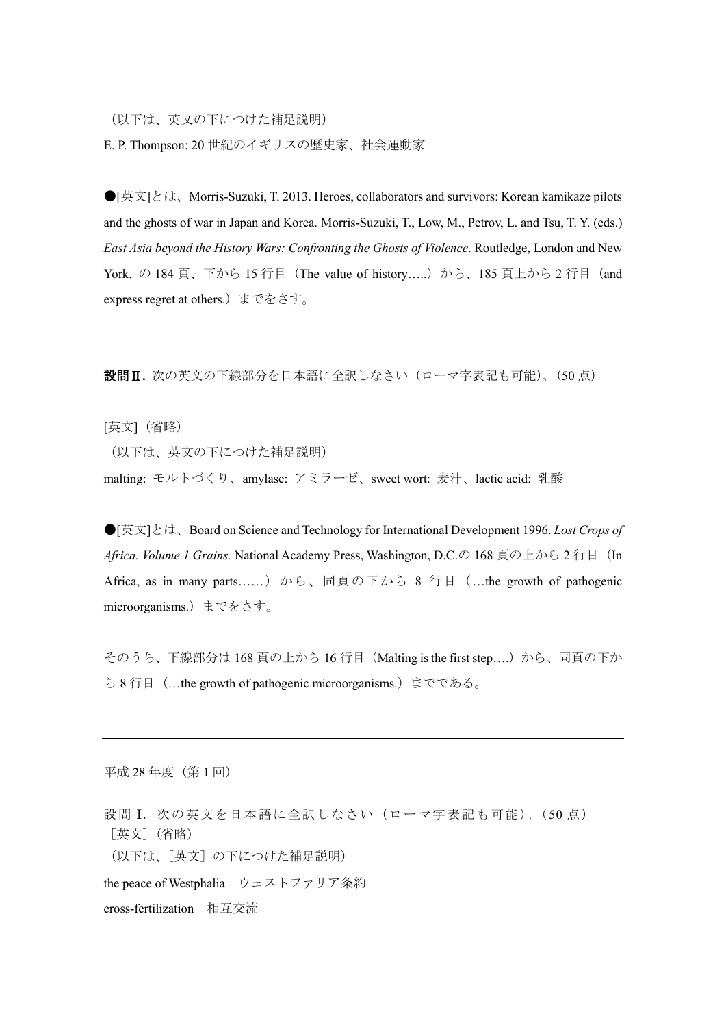(以下は、英文の下につけた補足説明)

E. P. Thompson: 20 世紀のイギリスの歴史家、社会運動家

●[英文]とは、Morris-Suzuki, T. 2013. Heroes, collaborators and survivors: Korean kamikaze pilots and the ghosts of war in Japan and Korea. Morris-Suzuki, T., Low, M., Petrov, L. and Tsu, T. Y. (eds.) *East Asia beyond the History Wars: Confronting the Ghosts of Violence*. Routledge, London and New York. の 184 頁、下から 15 行目 (The value of history.....) から、185 頁上から 2 行目 (and express regret at others.)までをさす。

設問Ⅱ**.** 次の英文の下線部分を日本語に全訳しなさい(ローマ字表記も可能)。(50 点)

[英文](省略)

(以下は、英文の下につけた補足説明)

malting: モルトづくり、amylase: アミラーゼ、sweet wort: 麦汁、lactic acid: 乳酸

●[英文]とは、Board on Science and Technology for International Development 1996. *Lost Crops of*  Africa. Volume 1 Grains. National Academy Press, Washington, D.C.の 168 頁の上から2 行目 (In Africa, as in many parts……)から、同頁の下から 8 行目 (…the growth of pathogenic microorganisms.)までをさす。

そのうち、下線部分は 168 頁の上から 16 行目 (Malting is the first step....)から、同頁の下か ら 8 行目 (…the growth of pathogenic microorganisms.) までである。

平成 28 年度 (第1回)

設問 I. 次の英文を日本語に全訳しなさい(ローマ字表記も可能)。(50点) [英文](省略) (以下は、[英文]の下につけた補足説明) the peace of Westphalia ウェストファリア条約 cross-fertilization 相互交流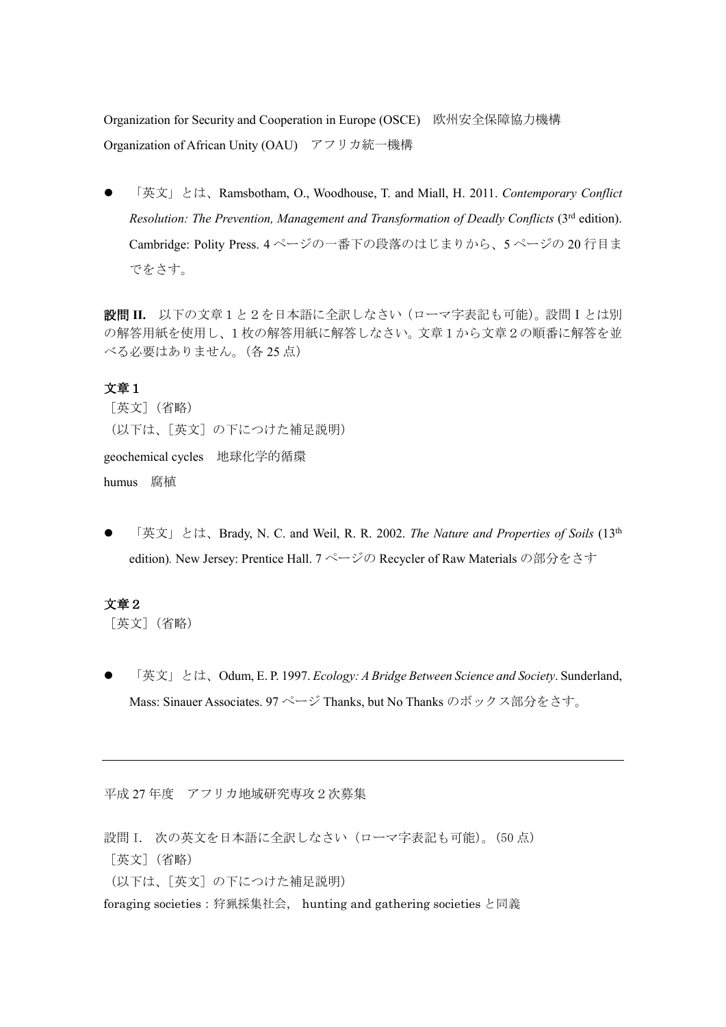Organization for Security and Cooperation in Europe (OSCE) 欧州安全保障協力機構 Organization of African Unity (OAU) アフリカ統一機構

 「英文」とは、Ramsbotham, O., Woodhouse, T. and Miall, H. 2011. *Contemporary Conflict Resolution: The Prevention, Management and Transformation of Deadly Conflicts (3<sup>rd</sup> edition).* Cambridge: Polity Press. 4 ページの一番下の段落のはじまりから、5 ページの 20 行目ま でをさす。

設問 **II.** 以下の文章1と2を日本語に全訳しなさい(ローマ字表記も可能)。設問Ⅰとは別 の解答用紙を使用し、1枚の解答用紙に解答しなさい。文章1から文章2の順番に解答を並 べる必要はありません。(各 25 点)

## 文章1

[英文](省略) (以下は、[英文]の下につけた補足説明) geochemical cycles 地球化学的循環 humus 腐植

 「英文」とは、Brady, N. C. and Weil, R. R. 2002. *The Nature and Properties of Soils* (13th edition). New Jersey: Prentice Hall. 7 ページの Recycler of Raw Materials の部分をさす

## 文章2

[英文](省略)

 「英文」とは、Odum, E. P. 1997. *Ecology: A Bridge Between Science and Society*. Sunderland, Mass: Sinauer Associates. 97 ページ Thanks, but No Thanks のボックス部分をさす。

平成 27 年度 アフリカ地域研究専攻2次募集

設問 I. 次の英文を日本語に全訳しなさい(ローマ字表記も可能)。(50 点) [英文](省略) (以下は、[英文]の下につけた補足説明) foraging societies:狩猟採集社会, hunting and gathering societies と同義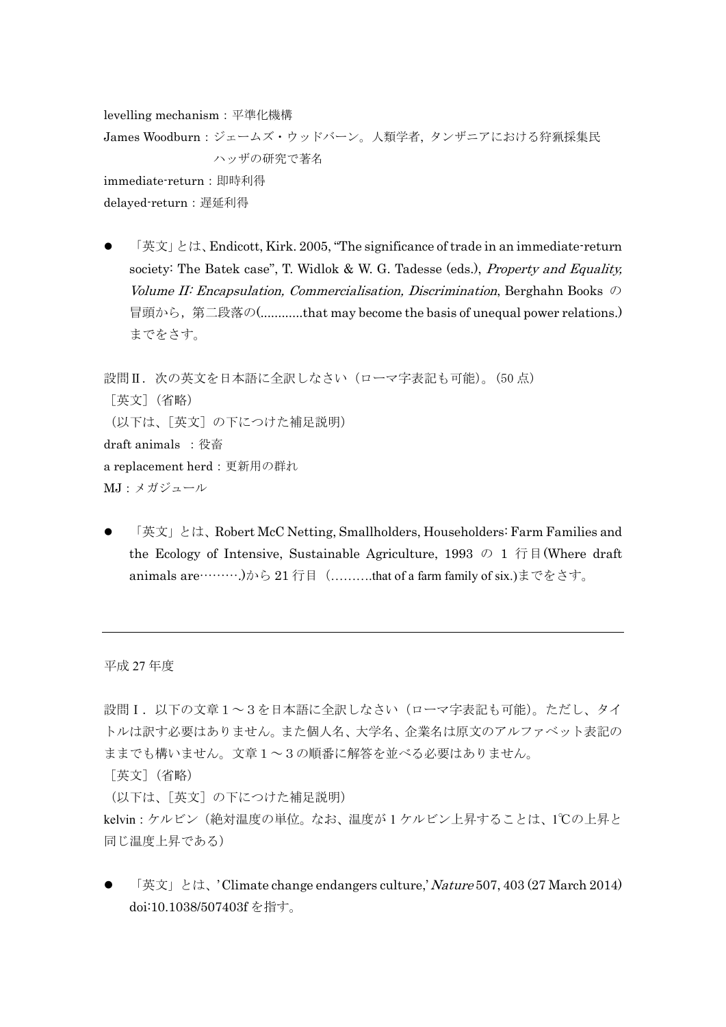levelling mechanism:平準化機構 James Woodburn:ジェームズ・ウッドバーン。人類学者, タンザニアにおける狩猟採集民 ハッザの研究で著名 immediate-return:即時利得 delaved-return: 遅延利得

 「英文」とは、Endicott, Kirk. 2005, "The significance of trade in an immediate-return society: The Batek case", T. Widlok & W. G. Tadesse (eds.), *Property and Equality*, Volume II: Encapsulation, Commercialisation, Discrimination, Berghahn Books  $\oslash$ 冒頭から,第二段落の(............that may become the basis of unequal power relations.) までをさす。

設問II. 次の英文を日本語に全訳しなさい(ローマ字表記も可能)。(50点) [英文](省略) (以下は、[英文]の下につけた補足説明) draft animals :役畜 a replacement herd:更新用の群れ MJ:メガジュール

 「英文」とは、Robert McC Netting, Smallholders, Householders: Farm Families and the Ecology of Intensive, Sustainable Agriculture, 1993 の 1 行目(Where draft) animals are……….)から 21 行目 (……….that of a farm family of six.)までをさす。

平成 27 年度

設問Ⅰ. 以下の文章1~3を日本語に全訳しなさい(ローマ字表記も可能)。ただし、タイ トルは訳す必要はありません。また個人名、大学名、企業名は原文のアルファベット表記の ままでも構いません。文章1~3の順番に解答を並べる必要はありません。

[英文](省略)

(以下は、[英文]の下につけた補足説明)

kelvin:ケルビン(絶対温度の単位。なお、温度が 1 ケルビン上昇することは、1℃の上昇と 同じ温度上昇である)

「英文」とは、' Climate change endangers culture,' Nature 507, 403 (27 March 2014) doi:10.1038/507403f を指す。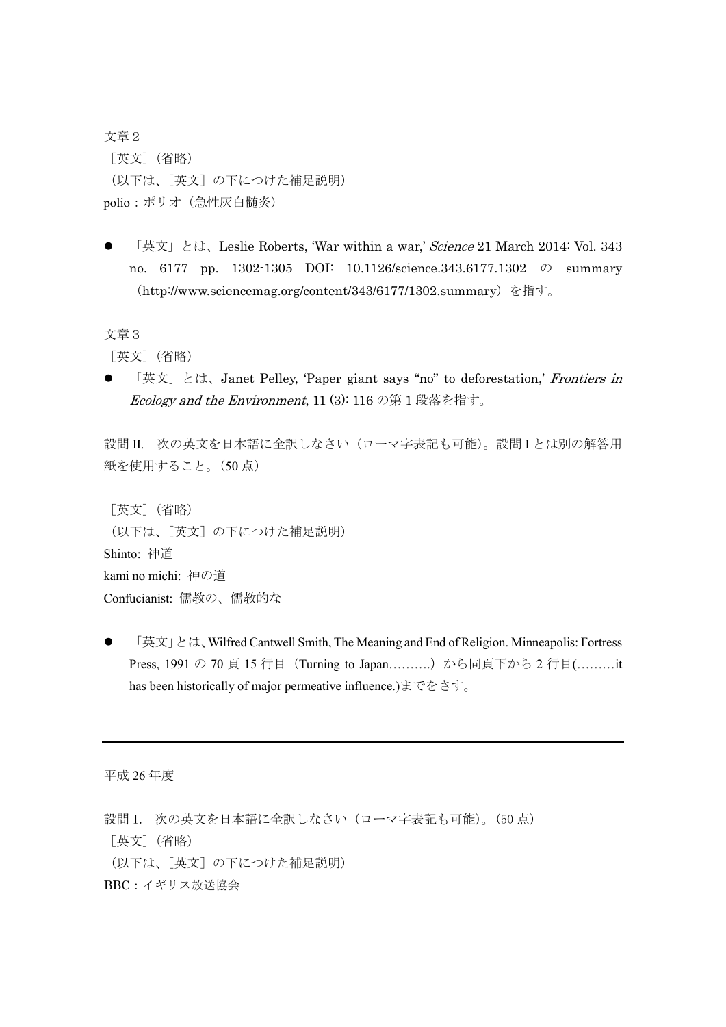文章2 [英文](省略) (以下は、[英文]の下につけた補足説明) polio:ポリオ(急性灰白髄炎)

「英文」とは、Leslie Roberts, 'War within a war,' Science 21 March 2014: Vol. 343 no. 6177 pp. 1302-1305 DOI: 10.1126/science.343.6177.1302 の summary (http://www.sciencemag.org/content/343/6177/1302.summary)を指す。

文章3

[英文](省略)

● 「英文」とは、Janet Pelley, 'Paper giant says "no" to deforestation,' Frontiers in Ecology and the Environment, 11 (3): 116 の第 1 段落を指す。

設問 II. 次の英文を日本語に全訳しなさい(ローマ字表記も可能)。設問 I とは別の解答用 紙を使用すること。(50 点)

```
[英文](省略)
(以下は、[英文]の下につけた補足説明)
Shinto: 神道
kami no michi: 神の道
Confucianist: 儒教の、儒教的な
```
 「英文」とは、Wilfred Cantwell Smith, The Meaning and End of Religion. Minneapolis: Fortress Press, 1991 の 70 頁 15 行目 (Turning to Japan..........) から同頁下から 2 行目(..........it has been historically of major permeative influence.)までをさす。

平成 26 年度

設問 I. 次の英文を日本語に全訳しなさい(ローマ字表記も可能)。(50 点) [英文](省略) (以下は、[英文]の下につけた補足説明) BBC:イギリス放送協会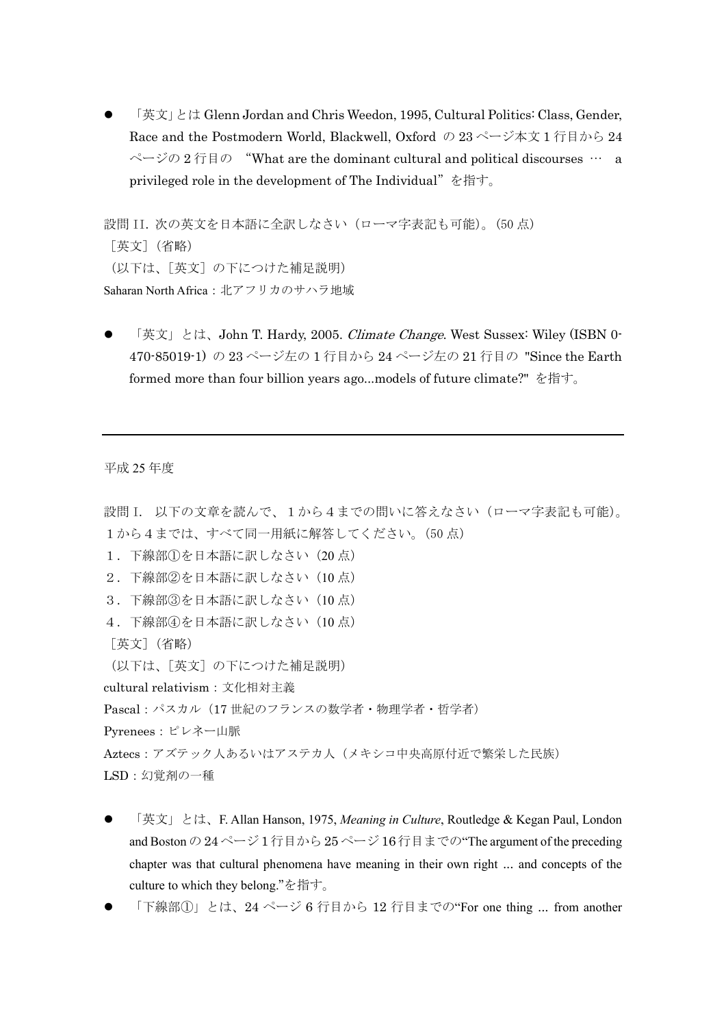「英文」とは Glenn Jordan and Chris Weedon, 1995, Cultural Politics: Class, Gender, Race and the Postmodern World, Blackwell, Oxford の 23 ページ本文 1 行目から 24 ページの 2 行目の "What are the dominant cultural and political discourses … a privileged role in the development of The Individual"を指す。

設問 II. 次の英文を日本語に全訳しなさい(ローマ字表記も可能)。(50 点) [英文](省略) (以下は、[英文]の下につけた補足説明) Saharan North Africa:北アフリカのサハラ地域

「英文」とは、John T. Hardy, 2005. *Climate Change*. West Sussex: Wiley (ISBN 0-470-85019-1) の 23 ページ左の 1 行目から 24 ページ左の 21 行目の "Since the Earth formed more than four billion years ago...models of future climate?" を指す。

平成 25 年度

```
設問 I. 以下の文章を読んで、1から4までの問いに答えなさい(ローマ字表記も可能)。
1から4までは、すべて同一用紙に解答してください。(50点)
1.下線部①を日本語に訳しなさい(20 点)
2.下線部②を日本語に訳しなさい(10 点)
3.下線部③を日本語に訳しなさい(10 点)
4.下線部④を日本語に訳しなさい(10 点)
[英文](省略)
(以下は、[英文]の下につけた補足説明)
cultural relativism:文化相対主義
Pascal:パスカル(17 世紀のフランスの数学者・物理学者・哲学者)
Pyrenees:ピレネー山脈
Aztecs:アズテック人あるいはアステカ人(メキシコ中央高原付近で繁栄した民族)
LSD:幻覚剤の一種
```
- 「英文」とは、F. Allan Hanson, 1975, *Meaning in Culture*, Routledge & Kegan Paul, London and Boston の 24 ページ 1 行目から 25 ページ 16 行目までの"The argument of the preceding chapter was that cultural phenomena have meaning in their own right ... and concepts of the culture to which they belong."を指す。
- 「下線部①」とは、24 ページ 6 行目から 12 行目までの"For one thing ... from another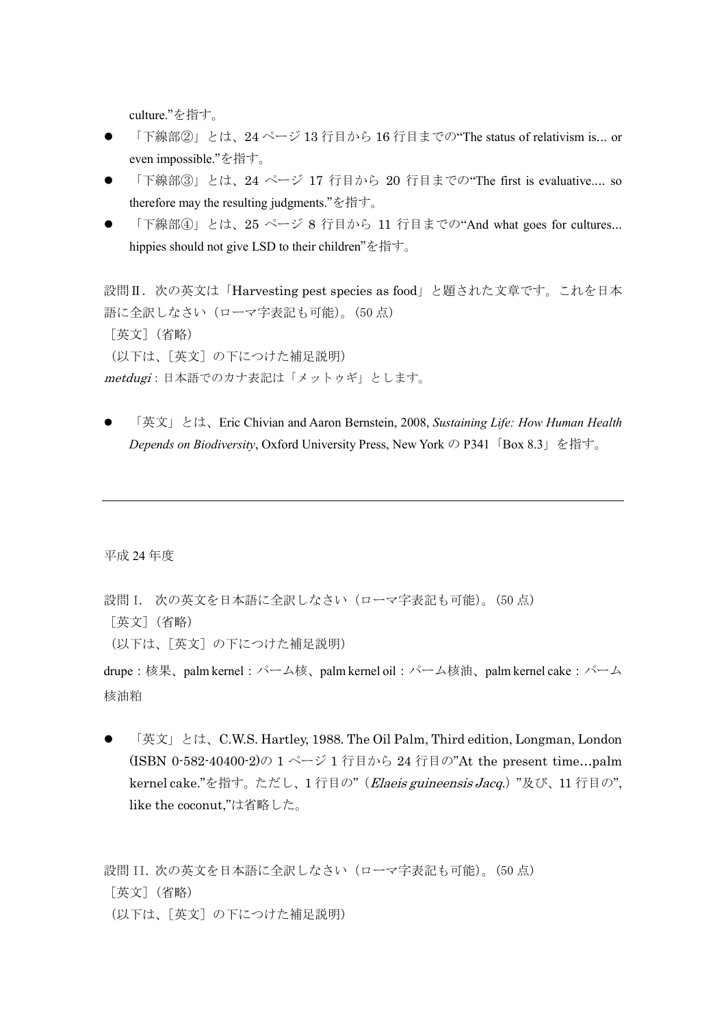culture."を指す。

- 「下線部②」とは、24ページ13 行目から 16 行目までの"The status of relativism is... or even impossible."を指す。
- 「下線部③」とは、24 ページ 17 行目から 20 行目までの"The first is evaluative.... so therefore may the resulting judgments."を指す。
- 「下線部④」とは、25 ページ 8 行目から 11 行目までの"And what goes for cultures... hippies should not give LSD to their children"を指す。

設問Ⅱ. 次の英文は「Harvesting pest species as food」と題された文章です。これを日本 語に全訳しなさい(ローマ字表記も可能)。(50 点) [英文](省略) (以下は、[英文]の下につけた補足説明) metdugi:日本語でのカナ表記は「メットゥギ」とします。

 「英文」とは、Eric Chivian and Aaron Bernstein, 2008, *Sustaining Life: How Human Health Depends on Biodiversity*, Oxford University Press, New York の P341「Box 8.3」を指す。

平成 24 年度

設問 I. 次の英文を日本語に全訳しなさい(ローマ字表記も可能)。(50点) [英文](省略) (以下は、[英文]の下につけた補足説明)

drupe:核果、palm kernel:パーム核、palm kernel oil:パーム核油、palm kernel cake:パーム 核油粕

 「英文」とは、C.W.S. Hartley, 1988. The Oil Palm, Third edition, Longman, London (ISBN 0-582-40400-2)の 1 ページ 1 行目から 24 行目の"At the present time…palm kernel cake."を指す。ただし、1 行目の"(Elaeis guineensis Jacq.) "及び、11 行目の", like the coconut,"は省略した。

設問 II. 次の英文を日本語に全訳しなさい(ローマ字表記も可能)。(50 点) [英文](省略) (以下は、[英文]の下につけた補足説明)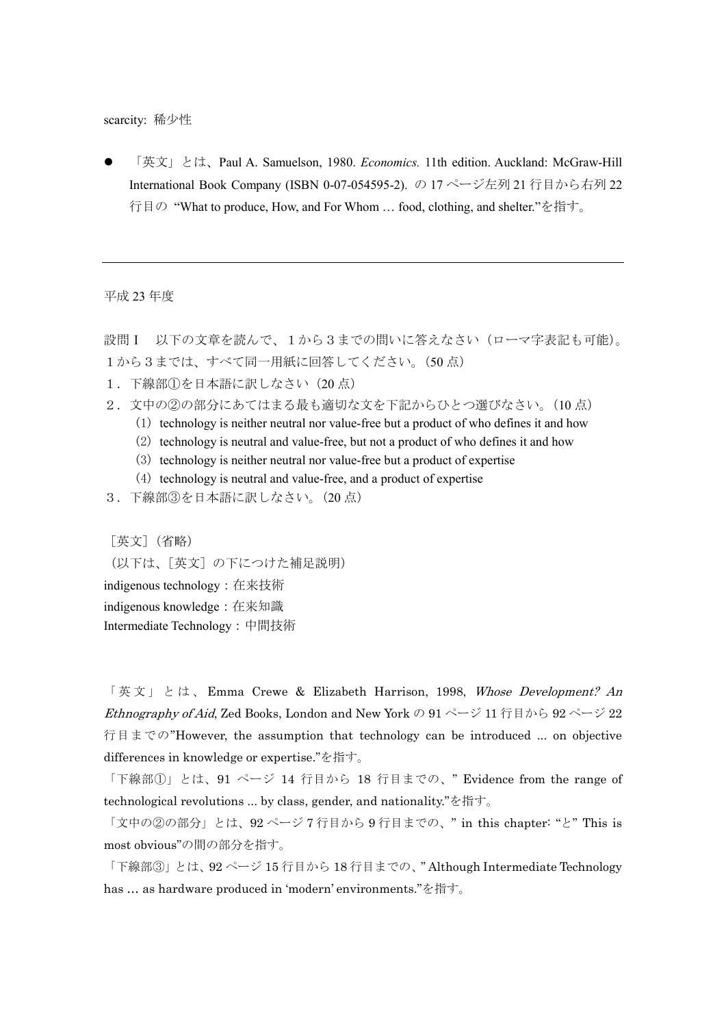scarcity: 稀少性

 「英文」とは、Paul A. Samuelson, 1980. *Economics.* 11th edition. Auckland: McGraw-Hill International Book Company (ISBN 0-07-054595-2). の 17 ページ左列 21 行目から右列 22 行目の "What to produce, How, and For Whom … food, clothing, and shelter."を指す。

平成 23 年度

設問 I 以下の文章を読んで、1から3までの問いに答えなさい(ローマ字表記も可能)。 1から3までは、すべて同一用紙に回答してください。(50点)

- 1.下線部①を日本語に訳しなさい(20 点)
- 2.文中の②の部分にあてはまる最も適切な文を下記からひとつ選びなさい。(10 点)
	- (1) technology is neither neutral nor value-free but a product of who defines it and how
	- (2) technology is neutral and value-free, but not a product of who defines it and how
	- (3) technology is neither neutral nor value-free but a product of expertise
	- (4) technology is neutral and value-free, and a product of expertise
- 3.下線部③を日本語に訳しなさい。(20 点)

[英文](省略)

(以下は、[英文]の下につけた補足説明) indigenous technology:在来技術 indigenous knowledge:在来知識 Intermediate Technology:中間技術

「英文」とは、 Emma Crewe & Elizabeth Harrison, 1998, Whose Development? An Ethnography of Aid, Zed Books, London and New York の 91 ページ 11 行目から 92 ページ 22 行目までの"However, the assumption that technology can be introduced ... on objective differences in knowledge or expertise."を指す。

「下線部①」とは、91 ページ 14 行目から 18 行目までの、" Evidence from the range of technological revolutions ... by class, gender, and nationality."を指す。

「文中の②の部分」とは、92 ページ 7 行目から 9 行目までの、" in this chapter: "と" This is most obvious"の間の部分を指す。

「下線部③」とは、92 ページ 15 行目から 18 行目までの、" Although Intermediate Technology has … as hardware produced in 'modern' environments."を指す。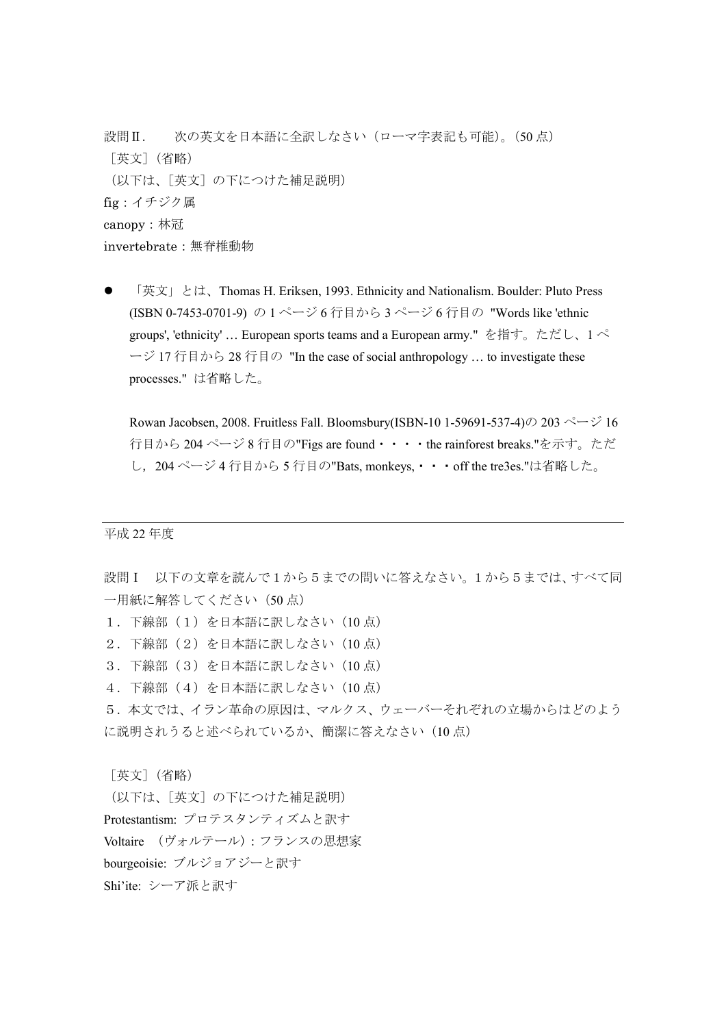設問Ⅱ. 次の英文を日本語に全訳しなさい(ローマ字表記も可能)。(50 点) [英文](省略) (以下は、[英文]の下につけた補足説明) fig:イチジク属 canopy:林冠 invertebrate:無脊椎動物

 「英文」とは、Thomas H. Eriksen, 1993. Ethnicity and Nationalism. Boulder: Pluto Press (ISBN 0-7453-0701-9) の 1 ページ 6 行目から 3 ページ 6 行目の "Words like 'ethnic groups', 'ethnicity' … European sports teams and a European army." を指す。ただし、1 ペ ージ 17 行目から 28 行目の "In the case of social anthropology … to investigate these processes." は省略した。

Rowan Jacobsen, 2008. Fruitless Fall. Bloomsbury(ISBN-10 1-59691-537-4)の 203 ページ 16 行目から 204 ページ 8 行目の"Figs are found・・・・the rainforest breaks."を示す。ただ し,204 ページ 4 行目から 5 行目の"Bats, monkeys,・・・off the tre3es."は省略した。

## 平成 22 年度

設問Ⅰ 以下の文章を読んで1から5までの問いに答えなさい。1から5までは、すべて同 一用紙に解答してください (50点)

1. 下線部(1)を日本語に訳しなさい (10点)

2.下線部(2)を日本語に訳しなさい(10 点)

3.下線部(3)を日本語に訳しなさい(10 点)

4.下線部(4)を日本語に訳しなさい(10 点)

5.本文では、イラン革命の原因は、マルクス、ウェーバーそれぞれの立場からはどのよう に説明されうると述べられているか、簡潔に答えなさい (10点)

[英文](省略)

(以下は、[英文]の下につけた補足説明) Protestantism: プロテスタンティズムと訳す Voltaire (ヴォルテール):フランスの思想家 bourgeoisie: ブルジョアジーと訳す Shi'ite: シーア派と訳す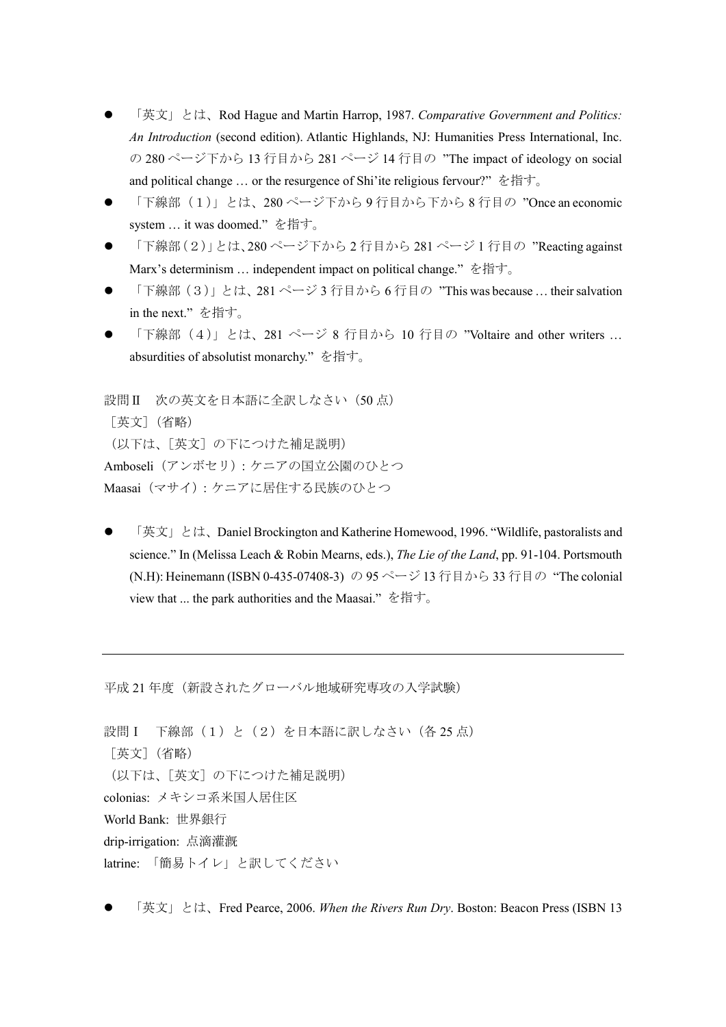- 「英文」とは、Rod Hague and Martin Harrop, 1987. *Comparative Government and Politics: An Introduction* (second edition). Atlantic Highlands, NJ: Humanities Press International, Inc. の 280 ページ下から 13 行目から 281 ページ 14 行目の "The impact of ideology on social and political change ... or the resurgence of Shi'ite religious fervour?" を指す。
- 「下線部(1)」とは、280 ページ下から 9 行目から下から 8 行目の "Once an economic system … it was doomed." を指す。
- 「下線部(2)」とは、280 ページ下から 2 行目から 281 ページ 1 行目の "Reacting against Marx's determinism ... independent impact on political change." を指す。
- 「下線部(3)」とは、281 ページ 3 行目から 6 行目の "This was because … their salvation in the next." を指す。
- 「下線部 (4)」とは、281 ページ 8 行目から 10 行目の "Voltaire and other writers ... absurdities of absolutist monarchy." を指す。

設問Ⅱ 次の英文を日本語に全訳しなさい (50点) [英文](省略) (以下は、[英文]の下につけた補足説明) Amboseli(アンボセリ):ケニアの国立公園のひとつ Maasai(マサイ):ケニアに居住する民族のひとつ

 「英文」とは、Daniel Brockington and Katherine Homewood, 1996. "Wildlife, pastoralists and science." In (Melissa Leach & Robin Mearns, eds.), *The Lie of the Land*, pp. 91-104. Portsmouth (N.H): Heinemann (ISBN 0-435-07408-3) の 95 ページ 13 行目から 33 行目の "The colonial view that ... the park authorities and the Maasai." を指す。

平成 21 年度(新設されたグローバル地域研究専攻の入学試験)

```
設問 I 下線部 (1) と (2) を日本語に訳しなさい (各 25 点)
[英文](省略)
(以下は、[英文]の下につけた補足説明)
colonias: メキシコ系米国人居住区
World Bank: 世界銀行
drip-irrigation: 点滴灌漑
latrine: 「簡易トイレ」と訳してください
```
「英文」とは、Fred Pearce, 2006. *When the Rivers Run Dry*. Boston: Beacon Press (ISBN 13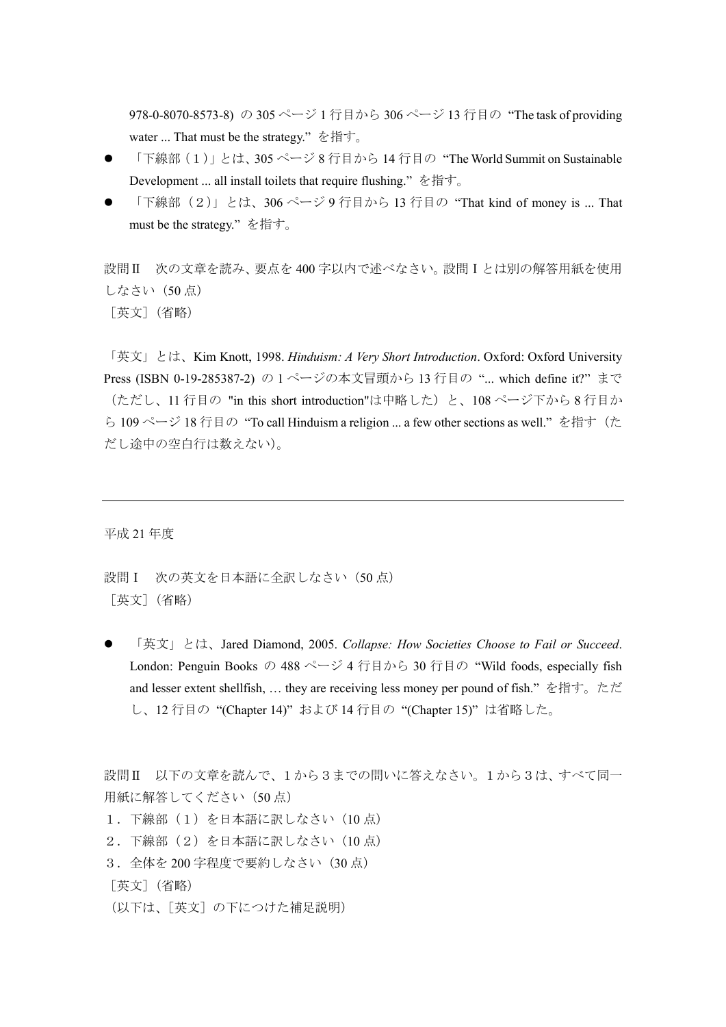978-0-8070-8573-8) の 305 ページ 1 行目から 306 ページ 13 行目の "The task of providing water ... That must be the strategy." を指す。

- 「下線部(1)」とは、305 ページ 8 行目から 14 行目の "The World Summit on Sustainable Development ... all install toilets that require flushing." を指す。
- 「下線部(2)」とは、306 ページ 9 行目から 13 行目の "That kind of money is ... That must be the strategy." を指す。

設問Ⅱ 次の文章を読み、要点を 400 字以内で述べなさい。設問Ⅰとは別の解答用紙を使用 しなさい(50 点) [英文](省略)

「英文」とは、Kim Knott, 1998. *Hinduism: A Very Short Introduction*. Oxford: Oxford University Press (ISBN 0-19-285387-2) の 1 ページの本文冒頭から 13 行目の "... which define it?" まで (ただし、11 行目の "in this short introduction"は中略した)と、108 ページ下から 8 行目か ら 109 ページ 18 行目の "To call Hinduism a religion ... a few other sections as well." を指す(た だし途中の空白行は数えない)。

平成 21 年度

設問 I 次の英文を日本語に全訳しなさい (50点) [英文](省略)

 「英文」とは、Jared Diamond, 2005. *Collapse: How Societies Choose to Fail or Succeed*. London: Penguin Books の 488 ページ 4 行目から 30 行目の "Wild foods, especially fish and lesser extent shellfish, … they are receiving less money per pound of fish." を指す。ただ し、12 行目の "(Chapter 14)" および 14 行目の "(Chapter 15)" は省略した。

設問Ⅱ 以下の文章を読んで、1から3までの問いに答えなさい。1から3は、すべて同一 用紙に解答してください (50点)

- 1. 下線部(1)を日本語に訳しなさい(10点)
- 2.下線部(2)を日本語に訳しなさい(10 点)
- 3. 全体を 200 字程度で要約しなさい (30 点)

[英文](省略)

(以下は、[英文]の下につけた補足説明)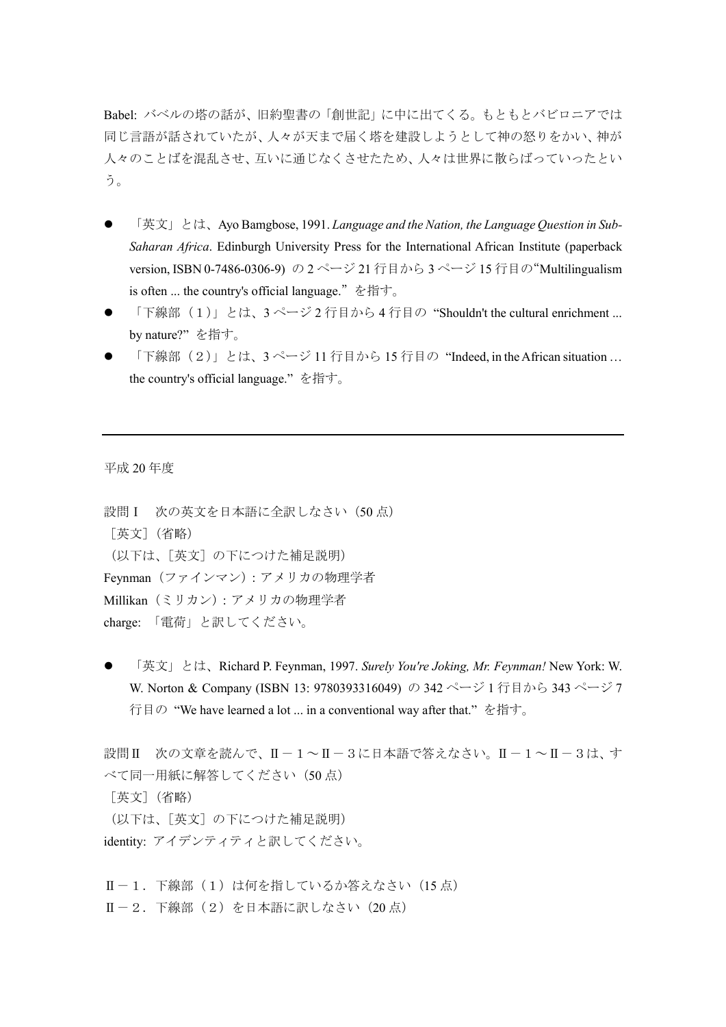Babel: バベルの塔の話が、旧約聖書の「創世記」に中に出てくる。もともとバビロニアでは 同じ言語が話されていたが、人々が天まで届く塔を建設しようとして神の怒りをかい、神が 人々のことばを混乱させ、互いに通じなくさせたため、人々は世界に散らばっていったとい う。

- 「英文」とは、Ayo Bamgbose, 1991. *Language and the Nation, the Language Question in Sub-Saharan Africa*. Edinburgh University Press for the International African Institute (paperback version, ISBN 0-7486-0306-9) の 2 ページ 21 行目から 3 ページ 15 行目の"Multilingualism is often ... the country's official language."を指す。
- 「下線部(1)」とは、3ページ2 行目から4 行目の "Shouldn't the cultural enrichment ... by nature?" を指す。
- 「下線部(2)」とは、3ページ 11 行目から 15 行目の "Indeed, in the African situation ... the country's official language." を指す。

平成 20 年度

設問 I 次の英文を日本語に全訳しなさい (50点) [英文](省略) (以下は、[英文]の下につけた補足説明) Feynman(ファインマン):アメリカの物理学者 Millikan(ミリカン):アメリカの物理学者 charge: 「電荷」と訳してください。

 「英文」とは、Richard P. Feynman, 1997. *Surely You're Joking, Mr. Feynman!* New York: W. W. Norton & Company (ISBN 13: 9780393316049) の 342 ページ 1 行目から 343 ページ 7 行目の "We have learned a lot ... in a conventional way after that." を指す。

設問Ⅱ 次の文章を読んで、Ⅱ-1~Ⅱ-3に日本語で答えなさい。Ⅱ-1~Ⅱ-3は、す べて同一用紙に解答してください (50点) [英文](省略) (以下は、[英文]の下につけた補足説明) identity: アイデンティティと訳してください。

 $II-1$ . 下線部 (1) は何を指しているか答えなさい (15点) Ⅱ-2. 下線部(2)を日本語に訳しなさい(20点)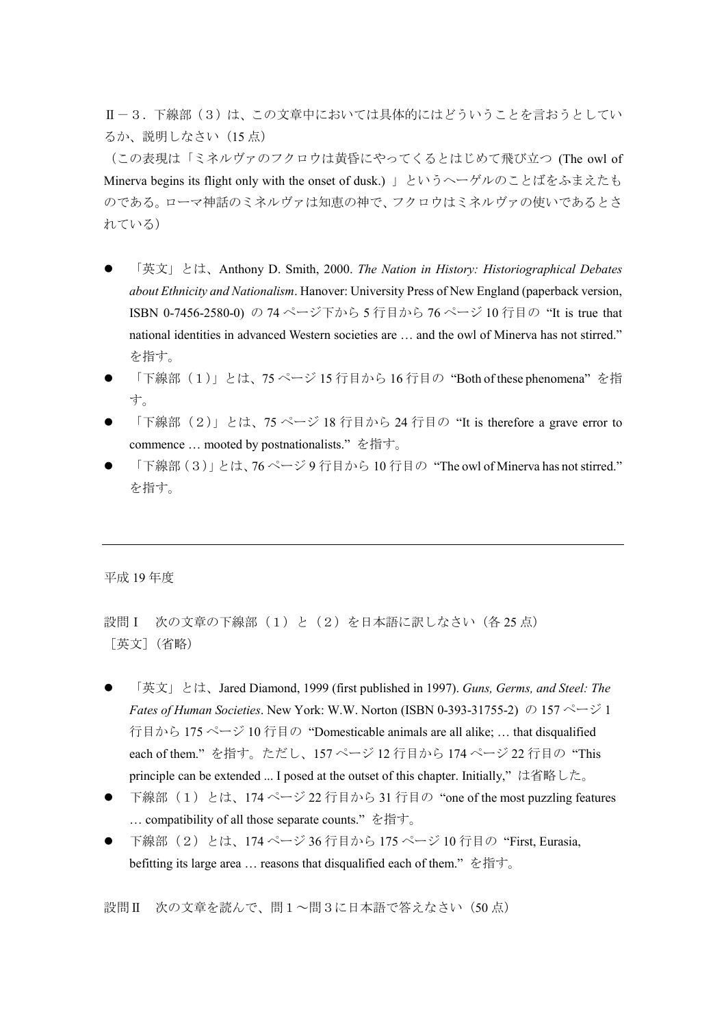Ⅱ-3. 下線部(3)は、この文章中においては具体的にはどういうことを言おうとしてい るか、説明しなさい(15 点)

(この表現は「ミネルヴァのフクロウは黄昏にやってくるとはじめて飛び立つ (The owl of Minerva begins its flight only with the onset of dusk.) 」というヘーゲルのことばをふまえたも のである。ローマ神話のミネルヴァは知恵の神で、フクロウはミネルヴァの使いであるとさ れている)

- 「英文」とは、Anthony D. Smith, 2000. *The Nation in History: Historiographical Debates about Ethnicity and Nationalism*. Hanover: University Press of New England (paperback version, ISBN 0-7456-2580-0) の 74 ページ下から 5 行目から 76 ページ 10 行目の "It is true that national identities in advanced Western societies are … and the owl of Minerva has not stirred." を指す。
- 「下線部(1)」とは、75 ページ 15 行目から 16 行目の "Both of these phenomena" を指 す。
- 「下線部(2)」とは、75 ページ 18 行目から 24 行目の "It is therefore a grave error to commence … mooted by postnationalists." を指す。
- 「下線部(3)」とは、76ページ9行目から10行目の "The owl of Minerva has not stirred." を指す。

平成 19 年度

設問 I 次の文章の下線部(1)と(2)を日本語に訳しなさい(各 25 点) [英文](省略)

- 「英文」とは、Jared Diamond, 1999 (first published in 1997). *Guns, Germs, and Steel: The Fates of Human Societies*. New York: W.W. Norton (ISBN 0-393-31755-2) の 157 ページ 1 行目から 175 ページ 10 行目の "Domesticable animals are all alike; ... that disqualified each of them." を指す。ただし、157 ページ 12 行目から 174 ページ 22 行目の "This principle can be extended ... I posed at the outset of this chapter. Initially,"は省略した。
- 下線部 (1) とは、174 ページ 22 行目から 31 行目の "one of the most puzzling features … compatibility of all those separate counts." を指す。
- 下線部(2)とは、174 ページ 36 行目から 175 ページ 10 行目の "First, Eurasia, befitting its large area ... reasons that disqualified each of them." を指す。

設問Ⅱ 次の文章を読んで、問1~問3に日本語で答えなさい(50点)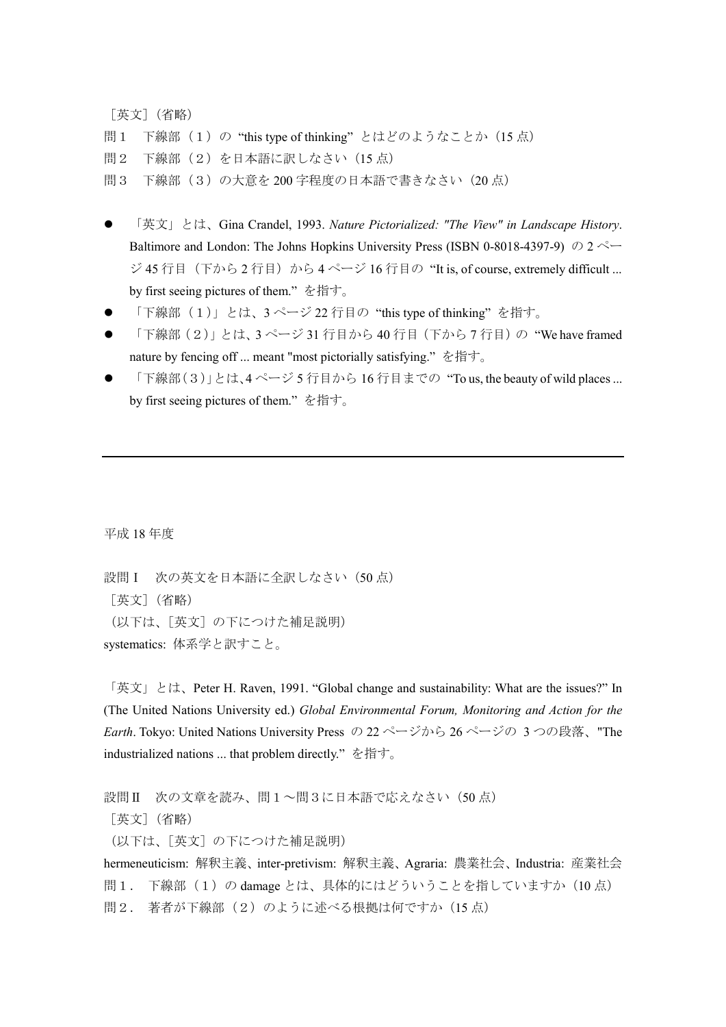[英文](省略) 問1 下線部(1)の"this type of thinking"とはどのようなことか(15 点) 問2 下線部(2)を日本語に訳しなさい(15 点) 問3 下線部(3)の大意を 200 字程度の日本語で書きなさい(20 点)

- 「英文」とは、Gina Crandel, 1993. *Nature Pictorialized: "The View" in Landscape History*. Baltimore and London: The Johns Hopkins University Press (ISBN 0-8018-4397-9) の 2 ペー ジ 45 行目 (下から 2 行目) から 4 ページ 16 行目の "It is, of course, extremely difficult ... by first seeing pictures of them." を指す。
- 「下線部(1)」とは、3 ページ 22 行目の "this type of thinking" を指す。
- 「下線部(2)」とは、3ページ 31 行目から 40 行目 (下から 7 行目)の "We have framed nature by fencing off ... meant "most pictorially satisfying." を指す。
- 「下線部(3)」とは、4ページ5行目から16行目までの "To us, the beauty of wild places ... by first seeing pictures of them." を指す。

平成 18 年度

設問 I 次の英文を日本語に全訳しなさい (50点) [英文](省略) (以下は、[英文]の下につけた補足説明) systematics: 体系学と訳すこと。

「英文」とは、Peter H. Raven, 1991. "Global change and sustainability: What are the issues?" In (The United Nations University ed.) *Global Environmental Forum, Monitoring and Action for the Earth*. Tokyo: United Nations University Press の 22 ページから 26 ページの 3 つの段落、"The industrialized nations ... that problem directly." を指す。

設問Ⅱ 次の文章を読み、問1~問3に日本語で応えなさい(50点) [英文](省略) (以下は、[英文]の下につけた補足説明) hermeneuticism: 解釈主義、inter-pretivism: 解釈主義、Agraria: 農業社会、Industria: 産業社会 問1. 下線部(1)の damage とは、具体的にはどういうことを指していますか(10点) 問2. 著者が下線部(2)のように述べる根拠は何ですか(15点)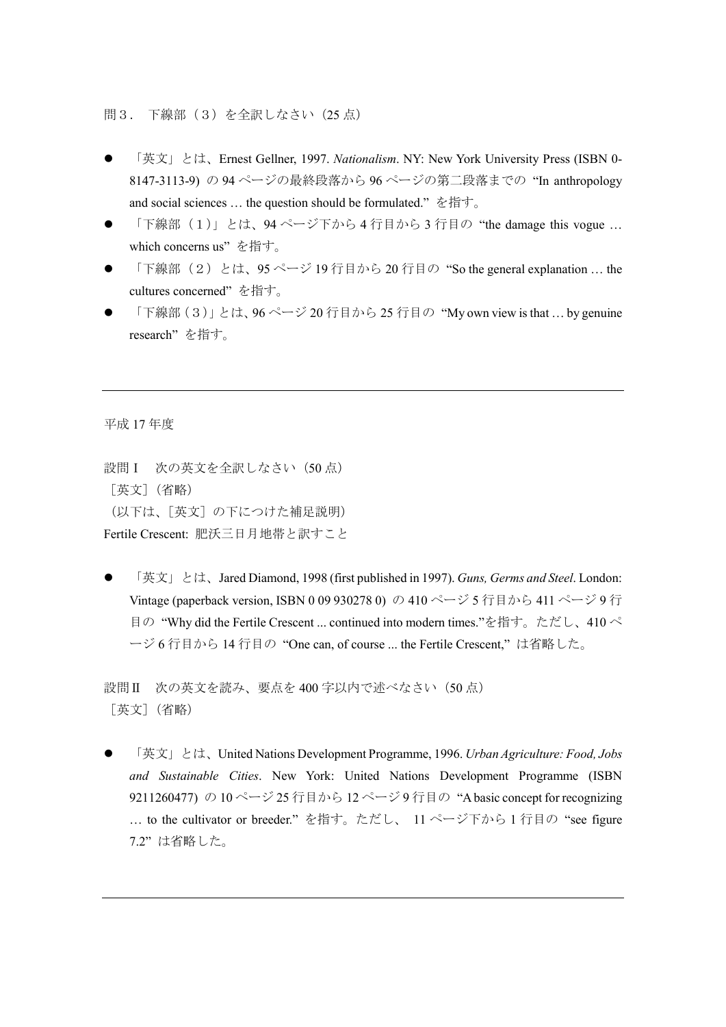問3. 下線部(3)を全訳しなさい(25 点)

- 「英文」とは、Ernest Gellner, 1997. *Nationalism*. NY: New York University Press (ISBN 0- 8147-3113-9) の 94 ページの最終段落から 96 ページの第二段落までの "In anthropology and social sciences … the question should be formulated." を指す。
- 「下線部(1)」とは、94 ページ下から 4 行目から 3 行目の "the damage this vogue … which concerns us" を指す。
- 「下線部(2)とは、95ページ 19 行目から 20 行目の "So the general explanation ... the cultures concerned" を指す。
- 「下線部(3)」とは、96 ページ 20 行目から 25 行目の "My own view is that … by genuine research" を指す。

平成 17 年度

設問 I 次の英文を全訳しなさい (50点) [英文](省略) (以下は、[英文]の下につけた補足説明) Fertile Crescent: 肥沃三日月地帯と訳すこと

 「英文」とは、Jared Diamond, 1998 (first published in 1997). *Guns, Germs and Steel*. London: Vintage (paperback version, ISBN 0 09 930278 0) の 410 ページ5 行目から 411 ページ9 行 目の "Why did the Fertile Crescent ... continued into modern times."を指す。ただし、410 ペ ージ 6 行目から 14 行目の "One can, of course ... the Fertile Crescent," は省略した。

設問II 次の英文を読み、要点を 400 字以内で述べなさい (50 点) [英文](省略)

 「英文」とは、United Nations Development Programme, 1996. *Urban Agriculture: Food, Jobs and Sustainable Cities*. New York: United Nations Development Programme (ISBN 9211260477) の 10 ページ 25 行目から 12 ページ 9 行目の "A basic concept for recognizing … to the cultivator or breeder." を指す。ただし、 11 ページ下から 1 行目の "see figure 7.2" は省略した。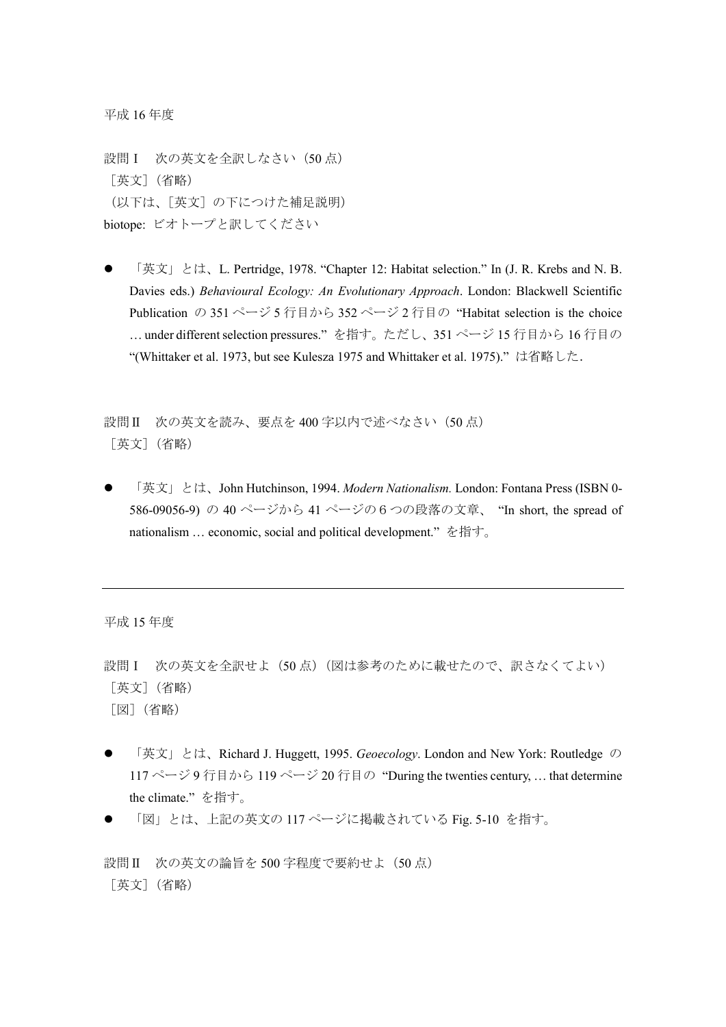平成 16 年度

設問 I 次の英文を全訳しなさい (50点) [英文](省略) (以下は、[英文]の下につけた補足説明) biotope: ビオトープと訳してください

 「英文」とは、L. Pertridge, 1978. "Chapter 12: Habitat selection." In (J. R. Krebs and N. B. Davies eds.) *Behavioural Ecology: An Evolutionary Approach*. London: Blackwell Scientific Publication の 351 ページ 5 行目から 352 ページ 2 行目の "Habitat selection is the choice … under different selection pressures." を指す。ただし、351 ページ 15 行目から 16 行目の "(Whittaker et al. 1973, but see Kulesza 1975 and Whittaker et al. 1975)."は省略した.

設問II 次の英文を読み、要点を 400 字以内で述べなさい (50点) [英文](省略)

 「英文」とは、John Hutchinson, 1994. *Modern Nationalism.* London: Fontana Press (ISBN 0- 586-09056-9) の 40 ページから 41 ページの6つの段落の文章、 "In short, the spread of nationalism … economic, social and political development." を指す。

平成 15 年度

設問 I 次の英文を全訳せよ (50点) (図は参考のために載せたので、訳さなくてよい) [英文](省略) [図](省略)

- 「英文」とは、Richard J. Huggett, 1995. *Geoecology*. London and New York: Routledge の 117 ページ 9 行目から 119 ページ 20 行目の "During the twenties century, ... that determine the climate." を指す。
- 「図」とは、上記の英文の 117 ページに掲載されている Fig. 5-10 を指す。

設問 II 次の英文の論旨を 500 字程度で要約せよ (50 点) [英文](省略)